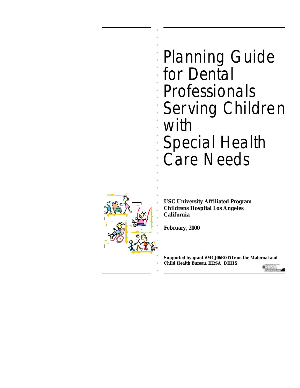Planning Guide for Dental Professionals Serving Children with Special Health Care Needs



**USC University Affiliated Program Childrens Hospital Los Angeles California**

**February, 2000**

• •

• • • • • • • • • • • • • • • • • • • • •

> **Supported by grant #MCJ06R005 from the Maternal and Child Health Bureau, HRSA, DHHS**

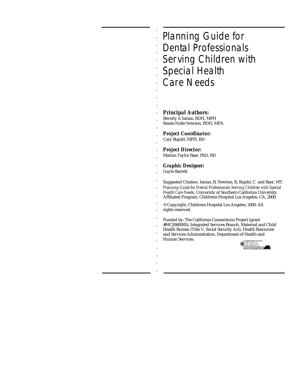- • Planning Guide for
- • Dental Professionals
- Serving Children with
- • Special Health
- Care Needs
	-

• • •

- *Principal Authors:*
- Beverly A Isman, RDH, MPH Renée Nolte Newton, RDH, MPA
- • *Project Coordinator:* Cary Bujold, MPH, RD
- • *Project Director:*
- Marion Taylor Baer, PhD, RD
- *Graphic Designer:*
- Gayle Barrett
- Suggested Citation: Isman, B, Newton, R, Bujold, C and Baer, MT.
- *Planning Guide for Dental Professionals Serving Children with Special Health Care Needs*. University of Southern California University
- Affiliated Program, Childrens Hospital Los Angeles, CA, 2000.
- • © Copyright. Childrens Hospital Los Angeles, 2000. All rights reserved.
- • • Funded by: The California Connections Project (grant #MCJ06R005), Integrated Services Branch, Maternal and Child Health Bureau (Title V, Social Security Act), Health Resources and Services Administration, Department of Health and
- Human Services.

• • • •

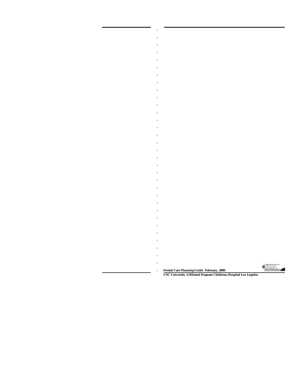### • •

• •

• • •

- •
- •
- •
- •
	-
	-
	-
- •
- •
- •
- •
- •
- •
- •
- •
- •
- •
- •
- •
- •
- •
- •
- 
- •
- •
- -

**Dental Care Planning Guide February, 2000**

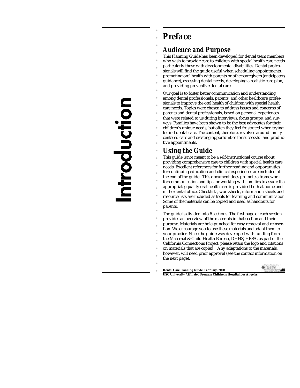## ntroduction

### *Preface*

• •

### • *Audience and Purpose*

• • • • • • This Planning Guide has been developed for dental team members who wish to provide care to children with special health care needs. particularly those with developmental disabilities. Dental professionals will find the guide useful when scheduling appointments, promoting oral health with parents or other caregivers (anticipatory guidance), assessing dental needs, developing a realistic care plan, and providing preventive dental care.

• • • • • • • Our goal is to foster better communication and understanding among dental professionals, parents, and other healthcare professionals to improve the oral health of children with special health care needs. Topics were chosen to address issues and concerns of parents and dental professionals, based on personal experiences that were related to us during interviews, focus groups, and surveys. Families have been shown to be the best advocates for their children's unique needs, but often they feel frustrated when trying to find dental care. The content, therefore, revolves around familycentered care and creating opportunities for successful and productive appointments.

### • *Using the Guide*

• • • • • • • • This guide is not meant to be a self-instructional course about providing comprehensive care to children with special health care needs. Excellent references for further reading and opportunities for continuing education and clinical experiences are included at the end of the guide. This document does promote a framework for communication and tips for working with families to assure that appropriate, quality oral health care is provided both at home and in the dental office. Checklists, worksheets, information sheets and resource lists are included as tools for learning and communication. Some of the materials can be copied and used as handouts for parents.

The guide is divided into 6 sections. The first page of each section

• provides an overview of the materials in that section and their

• purpose. Materials are hole-punched for easy removal and reinsertion. We encourage you to use these materials and adapt them to

• your practice. Since the guide was developed with funding from the Maternal & Child Health Bureau, DHHS, HRSA, as part of the

• California Connections Project, please retain the logo and citations on materials that are copied. Any adaptations to the materials,

• • however, will need prior approval (see the contact information on the next page).

**Dental Care Planning Guide February, 2000**

• •



**1**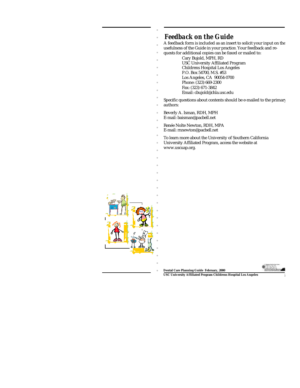### *Feedback on the Guide*

• A feedback form is included as an insert to solicit your input on the usefulness of the Guide in your practice. Your feedback and re-

- quests for additional copies can be faxed or mailed to:
- Cary Bujold, MPH, RD
- USC University Affiliated Program
- Childrens Hospital Los Angeles
- P.O. Box 54700, M.S. #53
- Los Angeles, CA 90054-0700
- Phone: (323) 669-2300 Fax: (323) 671-3842
- Email: cbujold@chla.usc.edu

• • Specific questions about contents should be e-mailed to the primary authors:

• •

- Beverly A. Isman, RDH, MPH
- E-mail: baisman@pacbell.net
- Renée Nolte Newton, RDH, MPA
- E-mail: rnnewton@pacbell.net
- To learn more about the University of Southern California
- University Affiliated Program, access the website at
- www.uscuap.org.
- •

•

• •



**Dental Care Planning Guide February, 2000**



**2**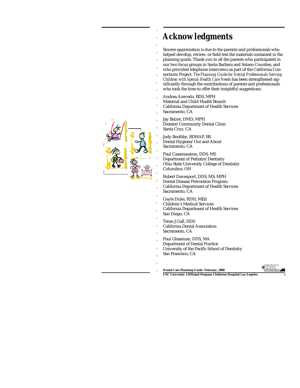### *Acknowledgments*

- • Sincere appreciation is due to the parents and professionals who helped develop, review, or field-test the materials contained in the
- planning guide. Thank you to all the parents who participated in our two focus groups in Santa Barbara and Solano Counties, and
- who provided telephone interviews as part of the California Con-
- nections Project. *The Planning Guide for Dental Professionals Serving*
- *Children with Special Health Care Needs* has been strengthened significantly through the contributions of parents and professionals
- who took the time to offer their insightful suggestions.
- Andrea Azevedo, BDS, MPH
- Maternal and Child Health Branch
- California Department of Health Services
- Sacramento, CA

• •

• • • • • • • • •

- Jay Balzer, DMD, MPH
- Dientes! Community Dental Clinic Santa Cruz, CA
- Judy Boothby, RDHAP, BS Dental Hygiene/Out and About Sacramento, CA
- Paul Casamassimo, DDS, MS Department of Pediatric Dentistry Ohio State University College of Dentistry Columbus, OH
- Robert Davenport, DDS, MS, MPH
- Dental Disease Prevention Program
- California Department of Health Services Sacramento, CA
- Gayle Duke, RDH, MEd
- • • Children's Medical Services California Department of Health Services San Diego, CA
	- Teran J Gall, DDS
- California Dental Association
- Sacramento, CA
- Paul Glassman, DDS, MA
- Department of Dental Practice
- University of the Pacific School of Dentistry
- San Francisco, CA

• •

**Dental Care Planning Guide February, 2000**



**3**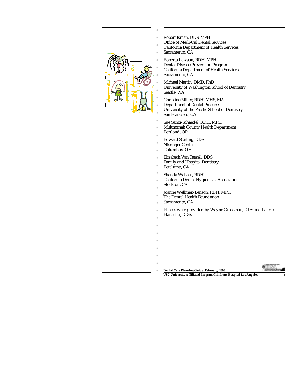

- Robert Isman, DDS, MPH
- Office of Medi-Cal Dental Services
- California Department of Health Services
- Sacramento, CA

•

- Roberta Lawson, RDH, MPH Dental Disease Prevention Program California Department of Health Services Sacramento, CA
- Michael Martin, DMD, PhD University of Washington School of Dentistry Seattle, WA
- Christine Miller, RDH, MHS, MA Department of Dental Practice
- University of the Pacific School of Dentistry San Francisco, CA
- Sue Sanzi-Schaedel, RDH, MPH
- Multnomah County Health Department Portland, OR
- •
- Edward Sterling, DDS
- Nisonger Center
- Columbus, OH
- Elizabeth Van Tassell, DDS
- Family and Hospital Dentistry
- Petaluma, CA
- Shanda Wallace, RDH
- California Dental Hygienists' Association Stockton, CA
- Joanne Wellman-Benson, RDH, MPH
- The Dental Health Foundation
- Sacramento, CA
- Photos were provided by Wayne Grossman, DDS and Laurie Hanschu, DDS.
- •
- •
- 
- •
- •
- •
- •

•

•

**Dental Care Planning Guide February, 2000**



**4**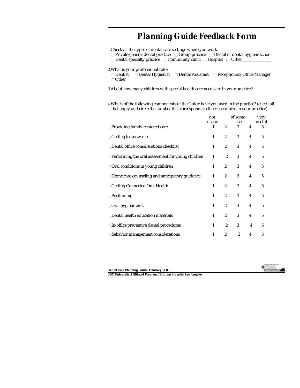### • *Planning Guide Feedback Form*

- 1.Check all the types of dental care settings where you work. • ■ Private general dental practice ■ Group practice ■ Dental or dental hygiene school • ■ Dental specialty practice ■ Community clinic ■ Hospital ■ Other\_\_\_\_\_\_\_\_\_\_\_\_\_\_
- 2.What is your professional role? □ Dentist □ Dental Hygienist □ Dental Assistant □ Receptionist/Office Manager<br>— ○ ' □ Other
- 3.About how many children with special health care needs are in your practice?
- 4.Which of the following components of the Guide have you used in the practice? (check all that apply and circle the number that corresponds to their usefulness in your practice)

|                                                          | not<br>useful |                  | of some<br>use |                         | very<br>useful |
|----------------------------------------------------------|---------------|------------------|----------------|-------------------------|----------------|
| $\Box$ Providing family-centered care                    | $\mathbf{1}$  | $\overline{2}$   | 3 <sup>1</sup> | $\overline{4}$          | 5              |
| $\Box$ Getting to know me                                | $\mathbf{1}$  | $\overline{2}$   | 3              | 4                       | 5              |
| $\Box$ Dental office considerations checklist            | $\mathbf{1}$  | $\overline{2}$   | 3              | 4                       | 5              |
| $\Box$ Performing the oral assessment for young children | $\mathbf{1}$  | $\boldsymbol{2}$ | 3              | 4                       | 5              |
| $\Box$ Oral conditions in young children                 | $\mathbf{1}$  | $\overline{2}$   | 3              | 4                       | 5              |
| $\Box$ Home care counseling and anticipatory guidance    | $\mathbf{1}$  | $\overline{2}$   | 3              | $\overline{\mathbf{4}}$ | 5              |
| Getting Connected Oral Health                            | $\mathbf{1}$  | $\overline{2}$   | 3              | 4                       | 5              |
| $\Box$ Positioning                                       | $\mathbf{1}$  | $\overline{2}$   | 3              | $\overline{\mathbf{4}}$ | 5              |
| $\Box$ Oral hygiene aids                                 | $\mathbf{1}$  | $\overline{2}$   | 3              | $\overline{\mathbf{4}}$ | 5              |
| $\Box$ Dental health education materials                 | $\mathbf{1}$  | $\boldsymbol{2}$ | 3              | $\overline{\mathbf{4}}$ | 5              |
| $\Box$ In-office preventive dental procedures            | $\mathbf{1}$  | $\boldsymbol{2}$ | 3              | $\overline{\mathbf{4}}$ | 5              |
| $\Box$ Behavior management considerations                | $\mathbf{1}$  | $\overline{2}$   | 3              | 4                       | 5              |

• **Dental Care Planning Guide February, 2000 Dental Care Planning Guide February, 2000**

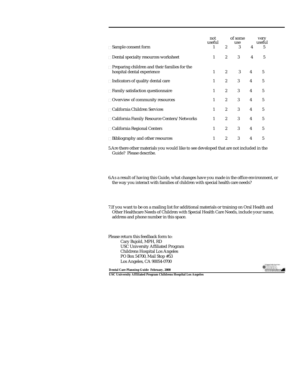| $\Box$ Sample consent form                                                         | not<br>useful<br>$\mathbf{1}$ | $\boldsymbol{2}$ | of some<br>use<br>3 | 4                       | very<br>useful<br>5 |
|------------------------------------------------------------------------------------|-------------------------------|------------------|---------------------|-------------------------|---------------------|
| $\Box$ Dental specialty resources worksheet                                        | $\mathbf{1}$                  | $\boldsymbol{2}$ | 3                   | 4                       | 5                   |
| $\Box$ Preparing children and their families for the<br>hospital dental experience | 1                             | $\boldsymbol{2}$ | 3                   | $\overline{\mathbf{4}}$ | 5                   |
| $\Box$ Indicators of quality dental care                                           | 1                             | $\boldsymbol{2}$ | 3                   | $\overline{\mathbf{4}}$ | 5                   |
| $\Box$ Family satisfaction questionnaire                                           | 1                             | $\boldsymbol{2}$ | 3                   | $\overline{\mathbf{4}}$ | 5                   |
| $\Box$ Overview of community resources                                             | 1                             | $\boldsymbol{2}$ | 3                   | 4                       | 5                   |
| $\sqcap$ California Children Services                                              | 1                             | $\overline{2}$   | 3                   | $\overline{\mathbf{4}}$ | 5                   |
| □ California Family Resource Centers/Networks                                      | 1                             | $\boldsymbol{2}$ | 3                   | 4                       | 5                   |
| $\Box$ California Regional Centers                                                 | 1                             | $\boldsymbol{2}$ | 3                   | $\overline{\mathbf{4}}$ | 5                   |
| $\Box$ Bibliography and other resources                                            | 1                             | $\overline{2}$   | 3                   | 4                       | 5                   |

• 5.Are there other materials you would like to see developed that are not included in the Guide? Please describe.

• the way you interact with families of children with special health care needs? 6.As a result of having this Guide, what changes have you made in the office environment, or

• 7.If you want to be on a mailing list for additional materials or training on Oral Health and Other Healthcare Needs of Children with Special Health Care Needs, include your name, • address and phone number in this space.

• Please return this feedback form to: • Cary Bujold, MPH, RD • Childrens Hospital Los Angeles • PO Box 54700, Mail Stop #53 • Los Angeles, CA 90054-0700 USC University Affiliated Program

**Dental Care Planning Guide February, 2000** • Fax: (323) 671-3842 **Dental Care Planning Guide February, 2000**

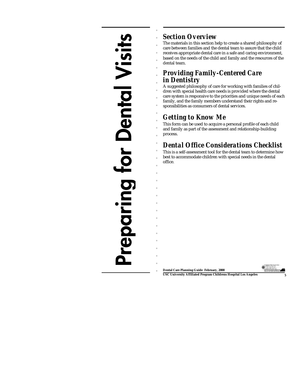# Preparing for Dental Visits

### *Section Overview*

•

• •

• • • • • • • • • • • • • • • • • • • • • •

• • • • The materials in this section help to create a shared philosophy of care between families and the dental team to assure that the child receives appropriate dental care in a safe and caring environment, based on the needs of the child and family and the resources of the dental team.

### *Providing Family-Centered Care in Dentistry*

• • • • A suggested philosophy of care for working with families of children with special health care needs is provided where the dental care system is responsive to the priorities and unique needs of each family, and the family members understand their rights and responsibilities as consumers of dental services.

### *Getting to Know Me*

This form can be used to acquire a personal profile of each child and family as part of the assessment and relationship-building process.

### *Dental Office Considerations Checklist*

This is a self-assessment tool for the dental team to determine how best to accommodate children with special needs in the dental office.

**Dental Care Planning Guide February, 2000 USC University Affiliated Program Childrens Hospital Los Angeles**

 $\bullet$  in Fig.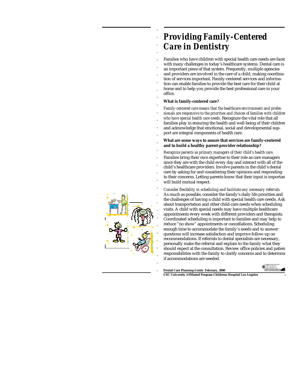### • • • • *Providing Family-Centered Care in Dentistry*

• • Families who have children with special health care needs are faced with many challenges in today's healthcare systems. Dental care is an important piece of that system. Frequently, multiple agencies

- and providers are involved in the care of a child, making coordina-
- • tion of services important. Family-centered services and information can enable families to provide the best care for their child at home and to help you provide the best professional care in your
	- office.

### **What is family-centered care?**

•

• •

- • • *Family-centered care means that the healthcare environment and professionals are responsive to the priorities and choices of families with children who have special health care needs.* Recognize the vital role that all families play in ensuring the health and well-being of their childrer
- and acknowledge that emotional, social and developmental sup-
- port are integral components of health care.

### • **What are some ways to assure that services are family-centered and to build a healthy parent-provider relationship?**

- *Recognize parents as primary managers of their child's health care.*
- Families bring their own expertise to their role as care managers
- since they are with the child every day and interact with all of the
- child's healthcare providers. Involve parents in the child's dental care by asking for and considering their opinions and responding to their concerns. Letting parents know that their input is importan
- will build mutual respect.

*Consider flexibility in scheduling and facilitate any necessary referrals.* As much as possible, consider the family's daily life priorities and the challenges of having a child with special health care needs. Ask about transportation and other child-care needs when scheduling visits. A child with special needs may have multiple healthcare appointments every week with different providers and therapists. Coordinated scheduling is important to families and may help to reduce "no show" appointments or cancellations. Scheduling enough time to accommodate the family's needs and to answer questions will increase satisfaction and improve follow-up on recommendations. If referrals to dental specialists are necessary, personally make the referral and explain to the family what they should expect at the consultation. Review office policies and patien responsibilities with the family to clarify concerns and to determine if accommodations are needed.

**Dental Care Planning Guide February, 2000**



**6**

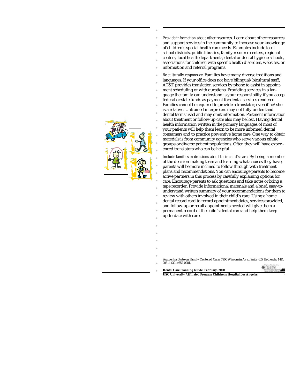

- • *Provide information about other resources.* Learn about other resources and support services in the community to increase your knowledge of children's special health care needs. Examples include local
- school districts, public libraries, family resource centers, regional
- centers, local health departments, dental or dental hygiene schools, associations for children with specific health disorders, websites, or
- information and referral programs.

•

• • • • • • • • • •

•

- *Be culturally responsive.* Families have many diverse traditions and languages. If your office does not have bilingual/bicultural staff,
- AT&T provides translation services by phone to assist in appoint-
- ment scheduling or with questions. Providing services in a language the family can understand is your responsibility if you accept
- • federal or state funds as payment for dental services rendered. Families cannot be required to provide a translator, even if he/she
- • • • • is a relative. Untrained interpreters may not fully understand dental terms used and may omit information. Pertinent information about treatment or follow-up care also may be lost. Having dental health information written in the primary languages of most of your patients will help them learn to be more informed dental consumers and to practice preventive home care. One way to obtain materials is from community agencies who serve various ethnic groups or diverse patient populations. Often they will have experienced translators who can be helpful.

*Include families in decisions about their child's care.* By being a member of the decision-making team and learning what choices they have, parents will be more inclined to follow through with treatment plans and recommendations. You can encourage parents to become active partners in this process by carefully explaining options for care. Encourage parents to ask questions and take notes or bring a tape recorder. Provide informational materials and a brief, easy-tounderstand written summary of your recommendations for them to review with others involved in their child's care. Using a home dental record card to record appointment dates, services provided, and follow-up or recall appointments needed will give them a permanent record of the child's dental care and help them keep up-to-date with care.

• • Source: Institute on Family Centered Care, 7900 Wisconsin Ave., Suite 405, Bethesda, MD. 20814 (301) 652-0281.



**Dental Care Planning Guide February, 2000 USC University Affiliated Program Childrens Hospital Los Angeles**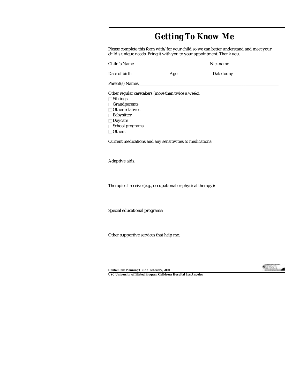### • *Getting To Know Me*

Please complete this form with/for your child so we can better understand and meet your<br>child's unique needs. Bring it with you to your appointment. Thank you. child's unique needs. Bring it with you to your appointment. Thank you.

| Other regular caretakers (more than twice a week):<br>$\Box$ Siblings<br>$\Box$ Grandparents<br>$\Box$ Other relatives<br>$\Box$ Babysitter<br>$\Box$ Daycare<br>□ School programs<br>$\Box$ Others<br>Current medications and any sensitivities to medications: |  |
|------------------------------------------------------------------------------------------------------------------------------------------------------------------------------------------------------------------------------------------------------------------|--|
|                                                                                                                                                                                                                                                                  |  |
|                                                                                                                                                                                                                                                                  |  |
|                                                                                                                                                                                                                                                                  |  |
|                                                                                                                                                                                                                                                                  |  |
|                                                                                                                                                                                                                                                                  |  |
|                                                                                                                                                                                                                                                                  |  |
|                                                                                                                                                                                                                                                                  |  |
|                                                                                                                                                                                                                                                                  |  |
|                                                                                                                                                                                                                                                                  |  |
|                                                                                                                                                                                                                                                                  |  |
|                                                                                                                                                                                                                                                                  |  |
| Adaptive aids:                                                                                                                                                                                                                                                   |  |
|                                                                                                                                                                                                                                                                  |  |
|                                                                                                                                                                                                                                                                  |  |

• Therapies I receive (e.g., occupational or physical therapy):

• Special educational programs:

• Other supportive services that help me:

**Dental Care Planning Guide February, 2000** • **Dental Care Planning Guide February, 2000**

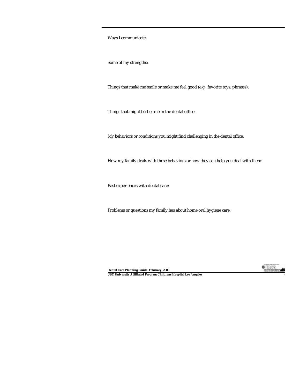Ways I communicate:

Some of my strengths:

• Things that make me smile or make me feel good (e.g., favorite toys, phrases):

• Things that might bother me in the dental office:

• My behaviors or conditions you might find challenging in the dental office:

• How my family deals with these behaviors or how they can help you deal with them:

• Past experiences with dental care:

• Problems or questions my family has about home oral hygiene care:

• **Dental Care Planning Guide February, 2000 Dental Care Planning Guide February, 2000 USC University Affiliated Program Childrens Hospital Los Angeles USC University Affiliated Program Childrens Hospital Los Angeles 9**

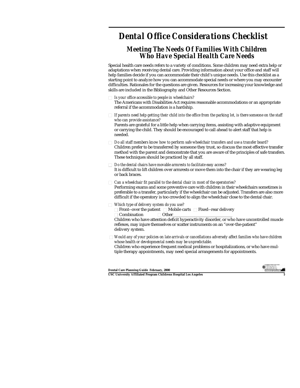### • • *Dental Office Considerations Checklist*

### • *Meeting The Needs Of Families With Children* • • *Who Have Special Health Care Needs*

• adaptations when receiving dental care. Providing information about your office and staff will • help families decide if you can accommodate their child's unique needs. Use this checklist as a • difficulties. Rationales for the questions are given. Resources for increasing your knowledge and • skills are included in the Bibliography and Other Resources Section. Special health care needs refers to a variety of conditions. Some children may need extra help or starting point to analyze how you can accommodate special needs or where you may encounter

- ■ *Is your office accessible to people in wheelchairs?* • referral if the accommodation is a hardship. The Americans with Disabilities Act requires reasonable accommodations or an appropriate
- $\Box$  If parents need help getting their child into the office from the parking lot, is there someone on the staff • *who can provide assistance?* Parents are grateful for a little help when carrying items, assisting with adaptive equipment

• or carrying the child. They should be encouraged to call ahead to alert staff that help is needed.

- ■ *Do all staff members know how to perform safe wheelchair transfers and use a transfer board?* • method with the parent and demonstrate that you are aware of the principles of safe transfers. • These techniques should be practiced by all staff. Children prefer to be transferred by someone they trust, so discuss the most effective transfer
- ■ *Do the dental chairs have movable armrests to facilitate easy access?* It is difficult to lift children over armrests or move them into the chair if they are wearing leg<br>or back braces. or back braces.
- ■ *Can a wheelchair fit parallel to the dental chair in most of the operatories?* • Performing exams and some preventive care with children in their wheelchairs sometimes is • difficult if the operatory is too crowded to align the wheelchair close to the dental chair. preferable to a transfer, particularly if the wheelchair can be adjusted. Transfers are also more
- ■ *Which type of delivery system do you use?*  $\Box$  Front--over the patient  $\Box$  Mobile carts  $\Box$  Fixed--rear delivery • Children who have attention deficit hyperactivity disorder, or who have uncontrolled muscle  $\Box$  Combination  $\Box$  Other

• reflexes, may injure themselves or scatter instruments on an "over-the-patient" delivery system.

• ■ *Would any of your policies on late arrivals or cancellations adversely affect families who have children* • *whose health or developmental needs may be unpredictable.* • Children who experience frequent medical problems or hospitalizations, or who have mul-

tiple therapy appointments, may need special arrangements for appointments.

**Dental Care Planning Guide February, 2000** • **Dental Care Planning Guide February, 2000**

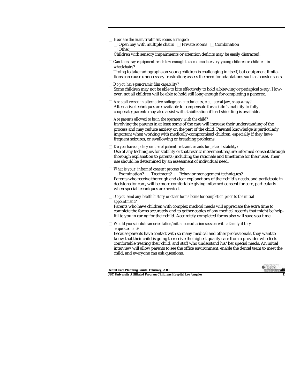• ■ *How are the exam/treatment rooms arranged?*  $\Box$  Open bay with multiple chairs  $\Box$  Private rooms  $\Box$  Combination □ Other

• Children with sensory impairments or attention deficits may be easily distracted.

• ■ *Can the x-ray equipment reach low enough to accommodate very young children or children in* • Trying to take radiographs on young children is challenging in itself, but equipment limita*wheelchairs?*

tions can cause unnecessary frustration; assess the need for adaptations such as booster seats.

- ■ *Do you have panoramic film capability?* • Some children may not be able to bite effectively to hold a bitewing or periapical x-ray. However, not all children will be able to hold still long enough for completing a panorex.
- ■ *Are staff versed in alternative radiographic techniques, e.g., lateral jaw, snap-a-ray?* • Alternative techniques are available to compensate for a child's inability to fully • cooperate; parents may also assist with stabilization if lead shielding is available.
- □ Are parents allowed to be in the operatory with the child? • process and may reduce anxiety on the part of the child. Parental knowledge is particularly • important when working with medically-compromised children, especially if they have Involving the parents in at least some of the care will increase their understanding of the frequent seizures, or swallowing or breathing problems.
- ■ *Do you have a policy on use of patient restraint or aids for patient stability?* • Use of any techniques for stability or that restrict movement require informed consent through morougn explanation to parents (including the rationale and th<br>use should be determined by an assessment of individual need. thorough explanation to parents (including the rationale and timeframe for their use). Their
- ■ *What is your informed consent process for:*  $\Box$  Examination?  $\Box$  Treatment?  $\Box$  Behavior management techniques? • decisions for care, will be more comfortable giving informed consent for care, particularly • when special techniques are needed. Parents who receive thorough and clear explanations of their child's needs, and participate in
- ■ *Do you send any health history or other forms home for completion prior to the initial appointment?*

• Parents who have children with complex medical needs will appreciate the extra time to • complete the forms accurately and to gather copies of any medical records that might be help-• ful to you in caring for their child. Accurately completed forms also will save you time.

 $\Box$  *Would you schedule an orientation/initial consultation session with a family if they*<br>requested ane?  *requested one?*

• Because parents have contact with so many medical and other professionals, they want to • comfortable treating their child, and staff who understand his/her special needs. An initial • interview will allow parents to see the office environment, enable the dental team to meet the • child, and everyone can ask questions. know that their child is going to receive the highest quality care from a provider who feels

• **Dental Care Planning Guide February, 2000 Dental Care Planning Guide February, 2000**

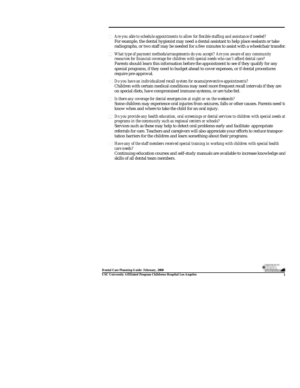- ■ *Are you able to schedule appointments to allow for flexible staffing and assistance if needed?* • radiographs, or two staff may be needed for a few minutes to assist with a wheelchair transfer. For example, the dental hygienist may need a dental assistant to help place sealants or take
- ■ *What type of payment methods/arrangements do you accept? Are you aware of any community* • *resources for financial coverage for children with special needs who can't afford dental care?* • special programs, if they need to budget ahead to cover expenses, or if dental procedures Parents should learn this information before the appointment to see if they qualify for any require pre-approval.
- ■ *Do you have an individualized recall system for exams/preventive appointments?* • on special diets, have compromised immune systems, or are tube fed. Children with certain medical conditions may need more frequent recall intervals if they are
- □ Is there any coverage for dental emergencies at night or on the weekends? Some children may experience oral injuries from seizures, falls or other causes. Parents need to<br>In secondore and subsessive to take the abilal for an anal injury. know when and where to take the child for an oral injury.
- ■ *Do you provide any health education, oral screenings or dental services to children with special needs at* • *programs in the community such as regional centers or schools?* • Services such as these may help to detect oral problems early and facilitate appropriate tation barriers for the children and learn something about their programs. referrals for care. Teachers and caregivers will also appreciate your efforts to reduce transpor-
- □ Have any of the staff members received special training in working with children with special health *care needs?*

• Continuing education courses and self-study manuals are available to increase knowledge and • skills of all dental team members.

**Dental Care Planning Guide February, 2000** • **Dental Care Planning Guide February, 2000**

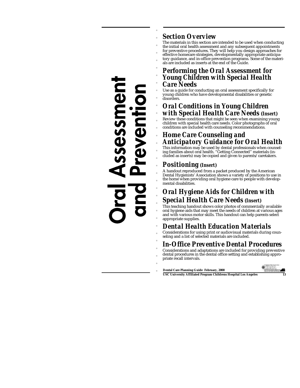### *Section Overview*

•

• • •

• • •

• • • • • • • • • • • • • • • • •

• • • • The materials in this section are intended to be used when conducting the initial oral health assessment and any subsequent appointments for preventive procedures. They will help you design approaches for effective homecare strategies, developmentally appropriate anticipatory guidance, and in-office prevention programs. Some of the materials are included as inserts at the end of the Guide.

### *Performing the Oral Assessment for Young Children with Special Health Care Needs*

• • Use as a guide for conducting an oral assessment specifically for young children who have developmental disabilities or genetic disorders.

### *Oral Conditions in Young Children with Special Health Care Needs (Insert)*

Review these conditions that might be seen when examining young children with special health care needs. Color photographs of oral conditions are included with counseling recommendations.

### • • • *Home Care Counseling and Anticipatory Guidance for Oral Health*

This information may be used by dental professionals when counseling families about oral health. "Getting Connected" materials (included as inserts) may be copied and given to parents/caretakers.

### *Positioning (Insert)*

A handout reproduced from a packet produced by the American Dental Hygienists' Association shows a variety of positions to use in the home when providing oral hygiene care to people with developmental disabilities.

### *Oral Hygiene Aids for Children with Special Health Care Needs (Insert)*

This teaching handout shows color photos of commercially available oral hygiene aids that may meet the needs of children at various ages and with various motor skills. This handout can help parents select appropriate supplies.

### *Dental Health Education Materials*

Considerations for using print or audiovisual materials during counseling and a list of selected materials are included.

### *In-Office Preventive Dental Procedures*

Considerations and adaptations are included for providing preventive dental procedures in the dental office setting and establishing appropriate recall intervals.

**Dental Care Planning Guide February, 2000**



**13**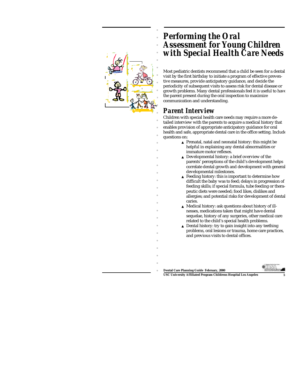

• •

• • • • • • • • • • • • • • • • • • • • •

### *Performing the Oral Assessment for Young Children with Special Health Care Needs*

Most pediatric dentists recommend that a child be seen for a dental visit by the first birthday to initiate a program of effective preventive measures, provide anticipatory guidance, and decide the periodicity of subsequent visits to assess risk for dental disease or growth problems. Many dental professionals feel it is useful to have the parent present during the oral inspection to maximize communication and understanding.

### *Parent Interview*

Children with special health care needs may require a more detailed interview with the parents to acquire a medical history that enables provision of appropriate anticipatory guidance for oral health and safe, appropriate dental care in the office setting. Include questions on:

- ▲ Prenatal, natal and neonatal history: this might be helpful in explaining any dental abnormalities or immature motor reflexes.
	- ▲ Developmental history: a brief overview of the parents' perceptions of the child's development helps correlate dental growth and development with general developmental milestones.
	- $\blacktriangle$  Feeding history: this is important to determine how difficult the baby was to feed; delays in progression of feeding skills; if special formula, tube feeding or therapeutic diets were needed; food likes, dislikes and allergies; and potential risks for development of dental caries.
	- ▲ Medical history: ask questions about history of illnesses, medications taken that might have dental sequelae, history of any surgeries, other medical care related to the child's special health problems.
	- ▲ Dental history: try to gain insight into any teething problems, oral lesions or trauma, home care practices, and previous visits to dental offices.

**Dental Care Planning Guide February, 2000**



**14**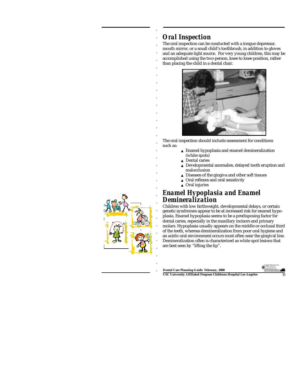### *Oral Inspection*

•

• • • • • • • • • • • • • • •

• • • • • The oral inspection can be conducted with a tongue depressor, mouth mirror, or a small child's toothbrush, in addition to gloves and an adequate light source. For very young children, this may be accomplished using the two-person, knee to knee position, rather than placing the child in a dental chair.



The oral inspection should include assessment for conditions such as:

- ▲ Enamel hypoplasia and enamel demineralization (white spots)
- ▲ Dental caries
	- ▲ Developmental anomalies, delayed tooth eruption and malocclusion
	- $\blacktriangle$  Diseases of the gingiva and other soft tissues
- ▲ Oral reflexes and oral sensitivity
- ▲ Oral injuries

### *Enamel Hypoplasia and Enamel Demineralization*

Children with low birthweight, developmental delays, or certain genetic syndromes appear to be at increased risk for enamel hypoplasia. Enamel hypoplasia seems to be a predisposing factor for dental caries, especially in the maxillary incisors and primary molars. Hypoplasia usually appears on the middle or occlusal third of the teeth, whereas demineralization from poor oral hygiene and an acidic oral environment occurs most often near the gingival line. Demineralization often is characterized as white spot lesions that are best seen by "lifting the lip".

**Dental Care Planning Guide February, 2000**



**USC University Affiliated Program Childrens Hospital Los Angeles**



• • • • • • • • • •

> • •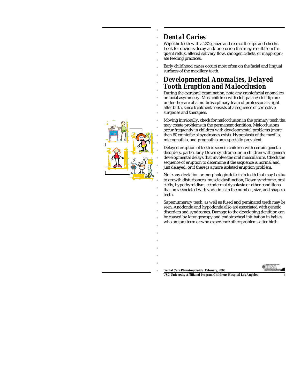### *Dental Caries*

• •

• •

• •

• • • • • •

• Wipe the teeth with a 2X2 gauze and retract the lips and cheeks.

- Look for obvious decay and/or erosion that may result from fre-
- quent reflux, altered salivary flow, cariogenic diets, or inappropri-
- ate feeding practices.

• Early childhood caries occurs most often on the facial and lingual surfaces of the maxillary teeth.

### *Developmental Anomalies, Delayed Tooth Eruption and Malocclusion*

• • • • During the extraoral examination, note any craniofacial anomalies or facial asymmetry. Most children with cleft palate/cleft lip are under the care of a multidisciplinary team of professionals right after birth, since treatment consists of a sequence of corrective surgeries and therapies.

Moving intraorally, check for malocclusion in the primary teeth tha may create problems in the permanent dentition. Malocclusions occur frequently in children with developmental problems (more than 80 craniofacial syndromes exist). Hypoplasia of the maxilla, micrognathia, and prognathia are especially prevalent.

Delayed eruption of teeth is seen in children with certain genetic disorders, particularly Down syndrome, or in children with general developmental delays that involve the oral musculature. Check the sequence of eruption to determine if the sequence is normal and just delayed, or if there is a more isolated eruption problem.

Note any deviation or morphologic defects in teeth that may be due to growth disturbances, muscle dysfunction, Down syndrome, oral clefts, hypothyroidism, ectodermal dysplasia or other conditions that are associated with variations in the number, size, and shape of teeth.

• • • • Supernumerary teeth, as well as fused and geminated teeth may be seen. Anodontia and hypodontia also are associated with genetic disorders and syndromes. Damage to the developing dentition can be caused by laryngoscopy and endotracheal intubation in babies who are pre-term or who experience other problems after birth.



**Dental Care Planning Guide February, 2000 USC University Affiliated Program Childrens Hospital Los Angeles**

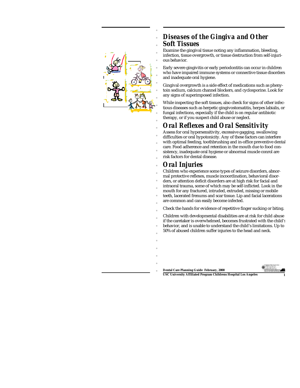

• •

• • • •

• • • • •

### *Diseases of the Gingiva and Other Soft Tissues*

Examine the gingival tissue noting any inflammation, bleeding, infection, tissue overgrowth, or tissue destruction from self-injurious behavior.

Early severe gingivitis or early periodontitis can occur in children who have impaired immune systems or connective tissue disorders and inadequate oral hygiene.

Gingival overgrowth is a side effect of medications such as phenytoin sodium, calcium channel blockers, and cyclosporine. Look for any signs of superimposed infection.

While inspecting the soft tissues, also check for signs of other infectious diseases such as herpetic gingivostomatitis, herpes labialis, or fungal infections, especially if the child is on regular antibiotic therapy, or if you suspect child abuse or neglect.

### *Oral Reflexes and Oral Sensitivity*

- Assess for oral hypersensitivity, excessive gagging, swallowing difficulties or oral hypotonicity. Any of these factors can interfere
- with optimal feeding, toothbrushing and in-office preventive dental care. Food adherence and retention in the mouth due to food con-
- sistency, inadequate oral hygiene or abnormal muscle conrol are
- risk factors for dental disease.

### • *Oral Injuries*

• Children who experience some types of seizure disorders, abnormal protective reflexes, muscle incoordination, behavioral disor-

- ders, or attention deficit disorders are at high risk for facial and
- intraoral trauma, some of which may be self-inflicted. Look in the mouth for any fractured, intruded, extruded, missing or mobile
- • teeth, lacerated frenums and scar tissue. Lip and facial lacerations are common and can easily become infected.

Check the hands for evidence of repetitive finger sucking or biting.

- • • • Children with developmental disabilities are at risk for child abuse if the caretaker is overwhelmed, becomes frustrated with the child's behavior, and is unable to understand the child's limitations. Up to 50% of abused children suffer injuries to the head and neck.
	- **Dental Care Planning Guide February, 2000**



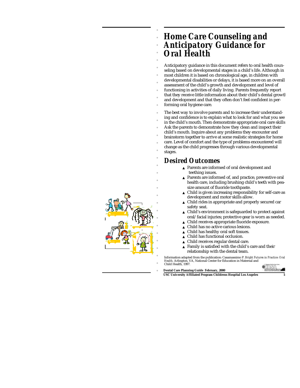### • • • • • *Home Care Counseling and Anticipatory Guidance for Oral Health*

• Anticipatory guidance in this document refers to oral health counseling based on developmental stages in a child's life. Although in most children it is based on chronological age, in children with

- • developmental disabilities or delays, it is based more on an overall
- assessment of the child's growth and development and level of functioning in activities of daily living. Parents frequently report
- that they receive little information about their child's dental growtl and development and that they often don't feel confident in per-
- forming oral hygiene care.

• • • • • • The best way to involve parents and to increase their understanding and confidence is to explain what to look for and what you see in the child's mouth. Then demonstrate appropriate oral care skills. Ask the parents to demonstrate how they clean and inspect their child's mouth. Inquire about any problems they encounter and brainstorm together to arrive at some realistic strategies for home care. Level of comfort and the type of problems encountered will change as the child progresses through various developmental stages.

### *Desired Outcomes*

• • • •

•

- ▲ Parents are informed of oral development and teething issues.
	- ▲ Parents are informed of, and practice, preventive oral health care, including brushing child's teeth with peasize amount of fluoride toothpaste.
	- ▲ Child is given increasing responsibility for self-care as development and motor skills allow.
	- ▲ Child rides in appropriate and properly secured car safety seat.
	- ▲ Child's environment is safeguarded to protect against oral/facial injuries; protective gear is worn as needed.
	- ▲ Child receives appropriate fluoride exposure.
	- ▲ Child has no active carious lesions.
	- ▲ Child has healthy oral soft tissues.
	- ▲ Child has functional occlusion.
	- ▲ Child receives regular dental care.
	- ▲ Family is satisfied with the child's care and their relationship with the dental team.

Information adapted from the publication: Casamassimo P. *Bright Futures in Practice: Oral Health*. Arlington, VA, National Center for Education in Maternal and Child Health, 1997.

**Dental Care Planning Guide February, 2000** •



**18**

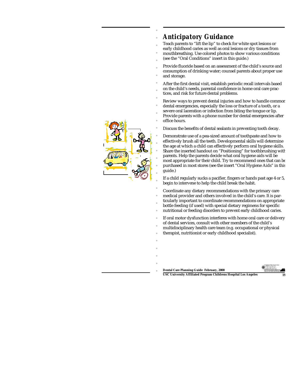### • *Anticipatory Guidance*

•

• • • • • • • • • • • •

• • • • •

• Teach parents to "lift the lip" to check for white spot lesions or

- early childhood caries as well as oral lesions or dry tissues from
- mouthbreathing. Use colored photos to show various conditions
- (see the "Oral Conditions" insert in this guide.)

• • Provide fluoride based on an assessment of the child's source and consumption of drinking water; counsel parents about proper use and storage.

• • After the first dental visit, establish periodic recall intervals based on the child's needs, parental confidence in home oral care practices, and risk for future dental problems.

• • • • Review ways to prevent dental injuries and how to handle common dental emergencies, especially the loss or fracture of a tooth, or a severe oral laceration or infection from biting the tongue or lip. Provide parents with a phone number for dental emergencies after office hours.

Discuss the benefits of dental sealants in preventing tooth decay.

Demonstrate use of a pea-sized amount of toothpaste and how to effectively brush all the teeth. Developmental skills will determine the age at which a child can effectively perform oral hygiene skills. Share the inserted handout on "Positioning" for toothbrushing with parents. Help the parents decide what oral hygiene aids will be most appropriate for their child. Try to recommend ones that can be purchased in most stores (see the insert "Oral Hygiene Aids" in this guide.)

If a child regularly sucks a pacifier, fingers or hands past age 4 or 5, begin to intervene to help the child break the habit.

Coordinate any dietary recommendations with the primary care medical provider and others involved in the child's care. It is particularly important to coordinate recommendations on appropriate bottle feeding (if used) with special dietary regimens for specific nutritional or feeding disorders to prevent early childhood caries.

• • • If oral motor dysfunction interferes with home oral care or delivery of dental services, consult with other members of the child's multidisciplinary health care team (e.g. occupational or physical therapist, nutritionist or early childhood specialist).

**Dental Care Planning Guide February, 2000 USC University Affiliated Program Childrens Hospital Los Angeles**

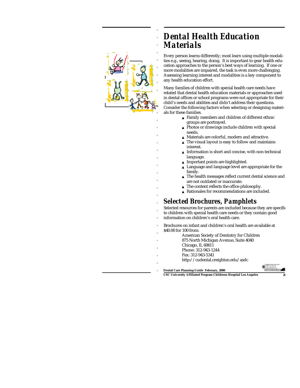

• •

• • • • • • • • • • •

### *Dental Health Education Materials*

Every person learns differently; most learn using multiple modalities e.g., seeing, hearing, doing. It is important to gear health education approaches to the person's best ways of learning. If one or more modalities are impaired, the task is even more challenging. Assessing learning interest and modalities is a key component to any health education effort.

Many families of children with special health care needs have related that dental health education materials or approaches used in dental offices or school programs were not appropriate for their child's needs and abilities and didn't address their questions. Consider the following factors when selecting or designing materials for these families.

- ▲ Family members and children of different ethnic groups are portrayed.
- $\triangle$  Photos or drawings include children with special needs.
- ▲ Materials are colorful, modern and attractive.
- ▲ The visual layout is easy to follow and maintains interest.
- ▲ Information is short and concise, with non-technical language.
- $\blacktriangle$  Important points are highlighted.
- ▲ Language and language level are appropriate for the family.
- ▲ The health messages reflect current dental science and are not outdated or inaccurate.
	- $\triangle$  The content reflects the office philosophy.
	- ▲ Rationales for recommendations are included.

### *Selected Brochures, Pamphlets*

- • Selected resources for parents are included because they are specific to children with special health care needs or they contain good
- information on children's oral health care.
- Brochures on infant and children's oral health are available at \$40.00 for 100 from:

|  | 970.00 IOI TOO ILOIII.                     |  |
|--|--------------------------------------------|--|
|  | American Society of Dentistry for Children |  |
|  | 875 North Michigan Avenue, Suite 4040      |  |
|  | Chicago, IL 60611                          |  |
|  | Phone: 312-943-1244                        |  |
|  | Fax: 312-943-5341                          |  |
|  | http://cudental.creighton.edu/asdc         |  |
|  |                                            |  |
|  | Dental Care Planning Guide February, 2000  |  |
|  |                                            |  |

**Dental Care Planning Guide February, 2000 USC University Affiliated Program Childrens Hospital Los Angeles**

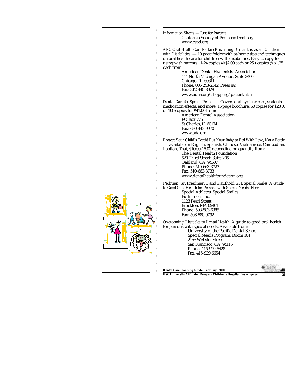• • • • • • • • • • • • • • • • • • • • • • • • • *Information Sheets — Just for Parents*: California Society of Pediatric Dentistry www.cspd.org *ARC Oral Health Care Packet: Preventing Dental Disease in Children with Disabilities* — 10 page folder with at-home tips and techniques on oral health care for children with disabilities. Easy to copy for using with parents. 1-24 copies @ \$2.00 each or  $25+$  copies @ \$1.25 each from: American Dental Hygienists' Association 444 North Michigan Avenue, Suite 3400 Chicago, IL 60611 Phone: 800-243-2342, Press #2 Fax: 312-440-8929 www.adha.org/shopping/patient.htm *Dental Care for Special People* — Covers oral hygiene care, sealants, medication effects, and more. 16 page brochure, 50 copies for \$23.00 or 100 copies for \$41.00 from: American Dental Association PO Box 776 St Charles, IL 60174 Fax: 630-443-9970 www.ada.org *Protect Your Child's Teeth! Put Your Baby to Bed With Love, Not a Bottle* — available in English, Spanish, Chinese, Vietnamese, Cambodian, Laotian, Thai, \$10.00-15.00 depending on quantity from: The Dental Health Foundation 520 Third Street, Suite 205 Oakland, CA 94607 Phone: 510-663-3727 Fax: 510-663-3733 www.dentalhealthfoundation.org Perlman, SP, Friedman C and Kaufhold GH. *Special Smiles. A Guide to Good Oral Health for Persons with Special Needs*. Free. Special Athletes, Special Smiles Fulfillment Inc. 1123 Pearl Street Brockton, MA 02401 Phone: 508-583-6385 Fax: 508-580-9792

> *Overcoming Obstacles to Dental Health*. A guide to good oral health for persons with special needs. Available from:

University of the Pacific Dental School Special Needs Program, Room 101 2155 Webster Street San Francisco, CA 94115 Phone: 415-929-6428 Fax: 415-929-6654

**Dental Care Planning Guide February, 2000**



**USC University Affiliated Program Childrens Hospital Los Angeles**



• •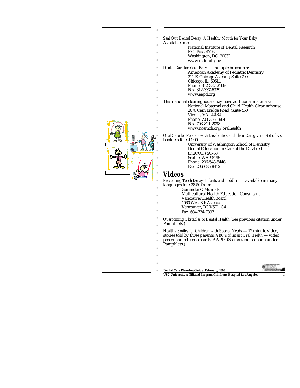- *Seal Out Dental Decay; A Healthy Mouth for Your Baby* Available from:
- National Institute of Dental Research
- P.O. Box 54793

•

• • •

- Washington, DC 20032
- www.nidr.nih.gov
- *Dental Care for Your Baby* — multiple brochures:
	- American Academy of Pediatric Dentistry
- 211 E. Chicago Avenue, Suite 700
- Chicago, IL 60611
- Phone: 312-337-2169
	- Fax: 312-337-6329
		- www.aapd.org

This national clearinghouse may have additional materials:

- National Maternal and Child Health Clearinghouse 2070 Cain Bridge Road, Suite 450
	- Vienna, VA 22182
	- Phone: 703-356-1964
		- Fax: 703-821-2098

www.ncemch.org/oralhealth

*Oral Care for Persons with Disabilities and Their Caregivers.* Set of six booklets for \$14.00.

> University of Washington School of Dentistry Dental Education in Care of the Disabled (DECOD) SC-63 Seattle, WA 98195 Phone: 206-543-5448 Fax: 206-685-8412

### *Videos*

•

• • • • *Preventing Tooth Decay: Infants and Toddlers* — available in many languages for \$28.50 from:

- Guninder C Mumick
- Multicultural Health Education Consultant
- Vancouver Health Board
- 1060 West 8th Avenue
	- Vancouver, BC V6H 1C4
- Fax: 604-734-7897

• • *Overcoming Obstacles to Dental Health* (See previous citation under Pamphlets.)

*Healthy Smiles for Children with Special Needs* — 12 minute video,

• • stories told by three parents; *ABC's of Infant Oral Health* — video, poster and reference cards. AAPD. (See previous citation under Pamphlets.)

**Dental Care Planning Guide February, 2000**



**USC University Affiliated Program Childrens Hospital Los Angeles**



• • • • • • • • •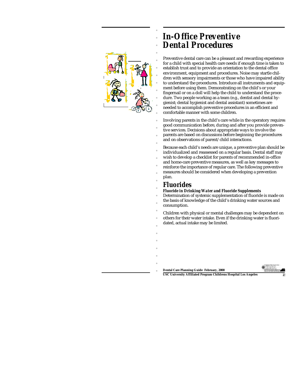

• •

• • •

• • • • • •

### *In-Office Preventive Dental Procedures*

Preventive dental care can be a pleasant and rewarding experience for a child with special health care needs if enough time is taken to establish trust and to provide an orientation to the dental office environment, equipment and procedures. Noise may startle children with sensory impairments or those who have impaired ability to understand the procedures. Introduce all instruments and equipment before using them. Demonstrating on the child's or your fingernail or on a doll will help the child to understand the procedure. Two people working as a team (e.g., dentist and dental hygienist; dental hygienist and dental assistant) sometimes are needed to accomplish preventive procedures in an efficient and comfortable manner with some children.

Involving parents in the child's care while in the operatory requires good communication before, during and after you provide preventive services. Decisions about appropriate ways to involve the parents are based on discussions before beginning the procedures and on observations of parent/child interactions.

- Because each child's needs are unique, a preventive plan should be
- individualized and reassessed on a regular basis. Dental staff may wish to develop a checklist for parents of recommended in-office
- and home-care preventive measures, as well as key messages to
- • reinforce the importance of regular care. The following preventive measures should be considered when developing a prevention plan.

### • *Fluorides*

- *Fluoride in Drinking Water and Fluoride Supplements*
- • Determination of systemic supplementation of fluoride is made on the basis of knowledge of the child's drinking water sources and consumption.
- • • Children with physical or mental challenges may be dependent on others for their water intake. Even if the drinking water is fluoridated, actual intake may be limited.
	- **Dental Care Planning Guide February, 2000**

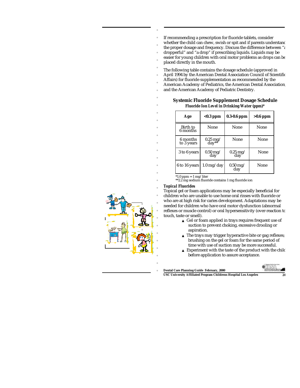- If recommending a prescription for fluoride tablets, consider whether the child can chew, swish or spit and if parents understand
- the proper dosage and frequency. Discuss the difference between "a
- dropperful" and "a drop" if prescribing liquids. Liquids may be
- easier for young children with oral motor problems as drops can be placed directly in the mouth.
- The following table contains the dosage schedule (approved in
- April 1994 by the American Dental Association Council of Scientific
- Affairs) for fluoride supplementation as recommended by the
- American Academy of Pediatrics, the American Dental Association,
- and the American Academy of Pediatric Dentistry.

| Age                         | $<$ 0.3 ppm          | $0.3 - 0.6$ ppm   | $>0.6$ ppm |
|-----------------------------|----------------------|-------------------|------------|
| <b>Birth to</b><br>6 months | None                 | None              | None       |
| 6 months<br>to 3 years      | $0.25 \text{ mg}$    | None              | None       |
| 3 to 6 years                | $0.50 \text{ mg}$    | $0.25 \text{ mg}$ | None       |
| 6 to 16 years               | $1.0 \text{ mg/day}$ | $0.50$ mg/<br>day | None       |

### **Systemic Fluoride Supplement Dosage Schedule** *Fluoride Ion Level in Drinking Water (ppm)\**

\*1.0 ppm = 1 mg/liter \*\*2.2 mg sodium fluoride contains 1 mg fluoride ion

### *Topical Fluorides*

•

• • • • • • • • • • • •

• • Topical gel or foam applications may be especially beneficial for children who are unable to use home oral rinses with fluoride or who are at high risk for caries development. Adaptations may be needed for children who have oral motor dysfunction (abnormal reflexes or muscle control) or oral hypersensitivity (over-reaction to touch, taste or smell).

- ▲ Gel or foam applied in trays requires frequent use of suction to prevent choking, excessive drooling or aspiration.
- $\triangle$  The trays may trigger hyperactive bite or gag reflexes; brushing on the gel or foam for the same period of time with use of suction may be more successful.
- $\triangle$  Experiment with the taste of the product with the child before application to assure acceptance.

**Dental Care Planning Guide February, 2000**





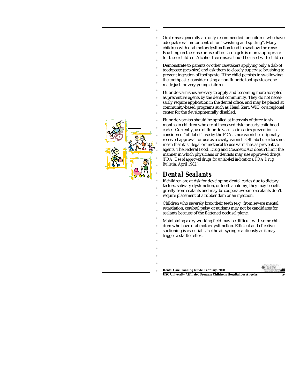

•

• • • •

• • • • • • • •

- Oral rinses generally are only recommended for children who have adequate oral motor control for "swishing and spitting". Many
- children with oral motor dysfunction tend to swallow the rinse.
- Brushing on the rinse or use of brush-on gels is more appropriate
- for these children. Alcohol-free rinses should be used with children.
- Demonstrate to parents or other caretakers applying only a dab of toothpaste (pea-size) and ask them to closely supervise brushing to prevent ingestion of toothpaste. If the child persists in swallowing the toothpaste, consider using a non-fluoride toothpaste or one made just for very young children.
- Fluoride varnishes are easy to apply and becoming more accepted as preventive agents by the dental community. They do not necessarily require application in the dental office, and may be placed at community-based programs such as Head Start, WIC, or a regional center for the developmentally disabled.
	- Fluoride varnish should be applied at intervals of three to six months in children who are at increased risk for early childhood caries. Currently, use of fluoride varnish in caries prevention is considered "off label" use by the FDA, since varnishes originally received approval for use as a cavity varnish. Off label use does not mean that it is illegal or unethical to use varnishes as preventive agents. The Federal Food, Drug and Cosmetic Act doesn't limit the manner in which physicians or dentists may use approved drugs. *(FDA. Use of approved drugs for unlabeled indications. FDA Drug Bulletin. April 1982.)*

### *Dental Sealants*

If children are at risk for developing dental caries due to dietary factors, salivary dysfunction, or tooth anatomy, they may benefit greatly from sealants and may be cooperative since sealants don't require placement of a rubber dam or an injection.

• • Children who severely brux their teeth (e.g., from severe mental retardation, cerebral palsy or autism) may not be candidates for sealants because of the flattened occlusal plane.

Maintaining a dry working field may be difficult with some children who have oral motor dysfunction. Efficient and effective suctioning is essential. Use the air syringe cautiously as it may trigger a startle reflex.

**Dental Care Planning Guide February, 2000 USC University Affiliated Program Childrens Hospital Los Angeles**

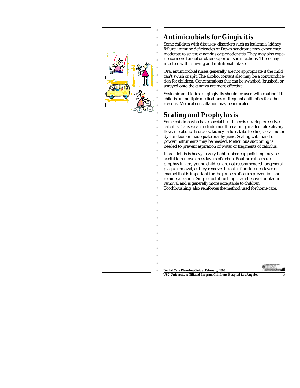

### *Antimicrobials for Gingivitis*

Some children with diseases/disorders such as leukemia, kidney failure, immune deficiencies or Down syndrome may experience moderate to severe gingivitis or periodontitis. They may also experience more fungal or other opportunistic infections. These may interfere with chewing and nutritional intake.

Oral antimicrobial rinses generally are not appropriate if the child can't swish or spit. The alcohol content also may be a contraindication for children. Concentrations that can be swabbed, brushed, or sprayed onto the gingiva are more effective.

Systemic antibiotics for gingivitis should be used with caution if the child is on multiple medications or frequent antibiotics for other reasons. Medical consultation may be indicated.

### *Scaling and Prophylaxis*

Some children who have special health needs develop excessive calculus. Causes can include mouthbreathing, inadequate salivary flow, metabolic disorders, kidney failure, tube feedings, oral motor dysfunction or inadequate oral hygiene. Scaling with hand or

• power instruments may be needed. Meticulous suctioning is needed to prevent aspiration of water or fragments of calculus.

- • If oral debris is heavy, a very light rubber cup polishing may be useful to remove gross layers of debris. Routine rubber cup
- prophys in very young children are not recommended for general
- plaque removal, as they remove the outer fluoride-rich layer of
- enamel that is important for the process of caries prevention and
- remineralization. Simple toothbrushing is as effective for plaque removal and is generally more acceptable to children.
- Toothbrushing also reinforces the method used for home care.
- •

• • • • •

• • •

• •

- 
- 
- •
	-
- •
- -
	-
	-

**Dental Care Planning Guide February, 2000**



**26**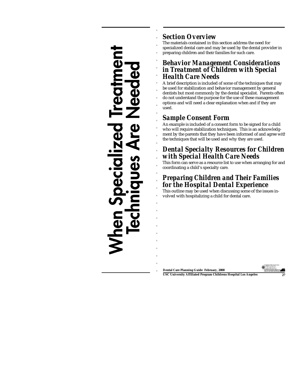### *Section Overview*

• • • • • • • • • • • • • • • • • • • • • • • • • • • • • • • • •

The materials contained in this section address the need for specialized dental care and may be used by the dental provider in preparing children and their families for such care.

### *Behavior Management Considerations in Treatment of Children with Special Health Care Needs*

A brief description is included of some of the techniques that may be used for stabilization and behavior management by general

dentists but most commonly by the dental specialist. Parents often do not understand the purpose for the use of these management

options and will need a clear explanation when and if they are used.

### *Sample Consent Form*

An example is included of a consent form to be signed for a child who will require stabilization techniques. This is an acknowledgment by the parents that they have been informed of and agree with the techniques that will be used and why they are used.

### *Dental Specialty Resources for Children with Special Health Care Needs*

This form can serve as a resource list to use when arranging for and coordinating a child's specialty care.

### *Preparing Children and Their Families for the Hospital Dental Experience*

This outline may be used when discussing some of the issues involved with hospitalizing a child for dental care.

**Dental Care Planning Guide February, 2000**

**27**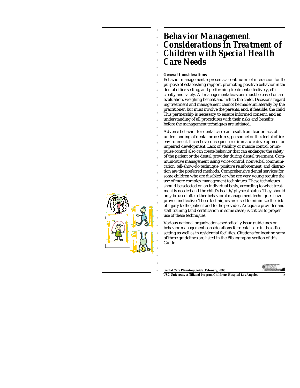### • • • • • • *Behavior Management Considerations in Treatment of Children with Special Health Care Needs*

### • *General Considerations*

- Behavior management represents a continuum of interaction for the purpose of establishing rapport, promoting positive behavior in the
- dental office setting, and performing treatment effectively, efficiently and safely. All management decisions must be based on an
- evaluation, weighing benefit and risk to the child. Decisions regard
- ing treatment and management cannot be made unilaterally by the
- practitioner, but must involve the parents, and, if feasible, the child. This partnership is necessary to ensure informed consent, and an
- understanding of all procedures with their risks and benefits,
- before the management techniques are initiated.
- • • • • • • • Adverse behavior for dental care can result from fear or lack of understanding of dental procedures, personnel or the dental office environment. It can be a consequence of immature development or impaired development. Lack of stability or muscle control or impulse control also can create behavior that can endanger the safety of the patient or the dental provider during dental treatment. Communicative management using voice control, nonverbal communication, tell-show-do technique, positive reinforcement, and distraction are the preferred methods. Comprehensive dental services for some children who are disabled or who are very young require the use of more complex management techniques. These techniques
- • • should be selected on an individual basis, according to what treatment is needed and the child's health/physical status. They should only be used after other behavioral management techniques have proven ineffective. These techniques are used to minimize the risk of injury to the patient and to the provider. Adequate provider and staff training (and certification in some cases) is critical to proper use of these techniques.

Various national organizations periodically issue guidelines on behavior management considerations for dental care in the office setting as well as in residential facilities. Citations for locating some of these guidelines are listed in the Bibliography section of this Guide.

**Dental Care Planning Guide February, 2000**



**USC University Affiliated Program Childrens Hospital Los Angeles**



• •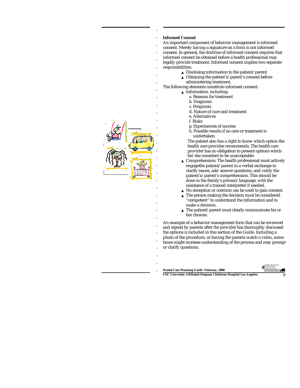### • • • • • • • • • • • • • • • • • • • • • • • • • • • • • • An important component of behavior management is informed consent. Merely having a signature on a form is not informed consent. In general, the doctrine of informed consent requires that informed consent be obtained before a health professional may responsibilities: ▲ Disclosing information to the patient/parent ▲ Obtaining the patient's/parent's consent before administering treatment. The following elements constitute informed consent:  $\blacktriangle$  Information, including: a. Reasons for treatment b. Diagnosis c. Prognosis d. Nature of cure and treatment e. Alternatives f. Risks g. Expectancies of success h. Possible results if no care or treatment is undertaken. he/she considers to be unacceptable. ▲ Comprehension: The health professional must actively engagethe patient/parent in a verbal exchange to patient's/parent's comprehension. This should be done in the family's primary language, with the assistance of a trained interpreter if needed.  $\triangle$  The person making the decision must be considered make a decision. ▲ The patient/parent must clearly communicate his or her choices. An example of a behavior management form that can be reviewed the options is included in this section of the Guide. Including a or clarify questions.

**Dental Care Planning Guide February, 2000 USC University Affiliated Program Childrens Hospital Los Angeles**

• •



### *Informed Consent*

•

- 
- 
- legally provide treatment. Informed consent implies two separate

The patient also has a right to know which option the health care provider recommends. The health care provider has no obligation to present options which

- clarify issues, ask/answer questions, and verify the
- ▲ No deception or coercion can be used to gain consent.
- "competent" to understand the information and to
- 

and signed by parents after the provider has thoroughly discussed photo of the procedure, or having the parents watch a video, sometimes might increase understanding of the process and may prompt

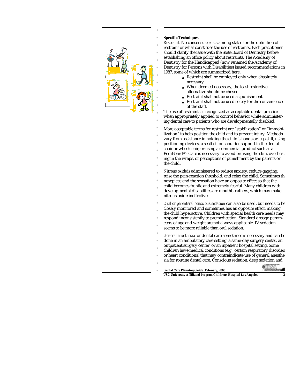

### *Specific Techniques*

•

•

• • *Restraint.* No consensus exists among states for the definition of restraint or what constitues the use of restraints. Each practitioner should clarify the issue with the State Board of Dentistry before establishing an office policy about restraints. The Academy of Dentistry for the Handicapped (now renamed the Academy of Dentistry for Persons with Disabilities) issued recommendations in 1987, some of which are summarized here:

- $\triangle$  Restraint shall be employed only when absolutely necessary.
- ▲ When deemed necessary, the least restrictive alternative should be chosen.
- ▲ Restraint shall not be used as punishment.
- ▲ Restraint shall not be used solely for the convenience of the staff.

The use of restraints is recognized as acceptable dental practice when appropriately applied to control behavior while administering dental care to patients who are developmentally disabled.

- • More acceptable terms for restraint are "stabilization" or "immobilization" to help position the child and to prevent injury. Methods
- vary from assistance in holding the child's hands or legs still, using
- positioning devices, a seatbelt or shoulder support in the dental chair or wheelchair, or using a commercial product such as a
- • PediBoard™. Care is necessary to avoid bruising the skin, overheating in the wraps, or perceptions of punishment by the parents or
- the child.

• *Nitrous oxide* is administered to reduce anxiety, reduce gagging, raise the pain-reaction threshold, and relax the child. Sometimes the

- nosepiece and the sensation have an opposite effect so that the
- child becomes frantic and extremely fearful. Many children with developmental disabilities are mouthbreathers, which may make
- nitrous oxide ineffective.
- *Oral or parenteral conscious sedation* can also be used, but needs to be closely monitored and sometimes has an opposite effect, making
- the child hyperactive. Children with special health care needs may
- respond inconsistently to premedication. Standard dosage parameters of age and weight are not always applicable. IV sedation
- seems to be more reliable than oral sedation.
- • *General anesthesia* for dental care sometimes is necessary and can be done in an ambulatory care setting, a same-day surgery center, an
- outpatient surgery center, or an inpatient hospital setting. Some
- • children have medical conditions (e.g., certain respiratory disorders or heart conditions) that may contraindicate use of general anesthesia for routine dental care. Conscious sedation, deep sedation and
	-
	- **Dental Care Planning Guide February, 2000 USC University Affiliated Program Childrens Hospital Los Angeles**

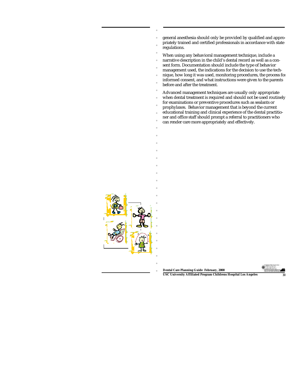- • general anesthesia should only be provided by qualified and appropriately trained and certified professionals in accordance with state regulations.
- When using any behavioral management technique, include a

•

• • • • • • • •

• •

- narrative description in the child's dental record as well as a consent form. Documentation should include the type of behavior
- management used, the indications for the decision to use the tech-
- • nique, how long it was used, monitoring procedures, the process for informed consent, and what instructions were given to the parents before and after the treatment.
- • • Advanced management techniques are usually only appropriate when dental treatment is required and should not be used routinely for examinations or preventive procedures such as sealants or prophylaxes. Behavior management that is beyond the current educational training and clinical experience of the dental practitio-
- • ner and office staff should prompt a referral to practitioners who can render care more appropriately and effectively.

• • • • • • • • • •

> **Dental Care Planning Guide February, 2000 USC University Affiliated Program Childrens Hospital Los Angeles**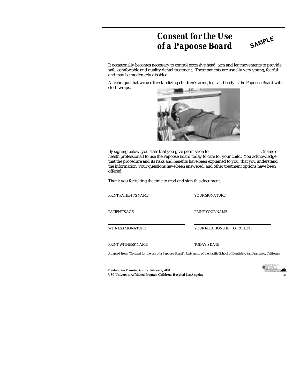### • *Consent for the Use* • *of a Papoose Board*

SAMPLE

• safe, comfortable and quality dental treatment. These patients are usually very young, fearful • and may be moderately disabled. It occasionally becomes necessary to control excessive head, arm and leg movements to provide

• A technique that we use for stabilizing children's arms, legs and body is the Papoose Board with cloth wraps.



By signing below, you state that you give permission to \_\_\_\_\_\_\_\_\_\_\_\_\_\_\_\_\_\_\_\_\_\_\_\_, (name of • health professional) to use the Papoose Board today to care for your child. You acknowledge • the information, your questions have been answered, and other treatment options have been that the procedure and its risks and benefits have been explained to you, that you understand offered.

• Thank you for taking the time to read and sign this document.

| PRINT PATIENT'S NAME | YOUR SIGNATURE                                                                                                                  |
|----------------------|---------------------------------------------------------------------------------------------------------------------------------|
| PATIENT'S AGE        | PRINT YOUR NAME                                                                                                                 |
| WITNESS' SIGNATURE   | YOUR RELATIONSHIP TO PATIENT                                                                                                    |
| PRINT WITNESS' NAME  | <b>TODAY'S DATE</b>                                                                                                             |
|                      | Adapted from "Consent for the use of a Papoose Board", University of the Pacific School of Dentistry, San Francisco, California |

| <b>Dental Care Planning Guide February. 2000</b>                 |  |
|------------------------------------------------------------------|--|
| USC University Affiliated Program Childrens Hospital Los Angeles |  |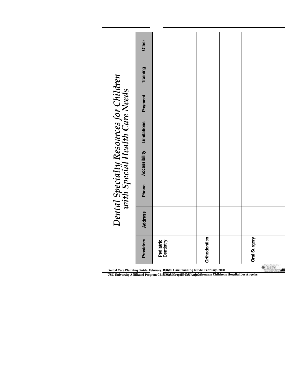|                                                                                                                                                                                            | Other          |                        |  |              |  |              |              |
|--------------------------------------------------------------------------------------------------------------------------------------------------------------------------------------------|----------------|------------------------|--|--------------|--|--------------|--------------|
|                                                                                                                                                                                            | Training       |                        |  |              |  |              |              |
|                                                                                                                                                                                            | Payment        |                        |  |              |  |              |              |
| Dental Specialty Resources for Children<br>with Special Health Care Needs                                                                                                                  | Limitations    |                        |  |              |  |              |              |
|                                                                                                                                                                                            | Accessibility  |                        |  |              |  |              |              |
|                                                                                                                                                                                            | Phone          |                        |  |              |  |              |              |
|                                                                                                                                                                                            | <b>Address</b> |                        |  |              |  |              |              |
|                                                                                                                                                                                            | Providers      | Pediatric<br>Dentistry |  | Orthodontics |  | Oral Surgery |              |
|                                                                                                                                                                                            |                |                        |  |              |  |              | <b>WIDEA</b> |
| Dental Care Planning Guide February, 2000tal Care Planning Guide February, 2000<br>USC University Affiliated Program ChildSGAU tospiday Loft Mated Strogram Childrens Hospital Los Angeles |                |                        |  |              |  |              |              |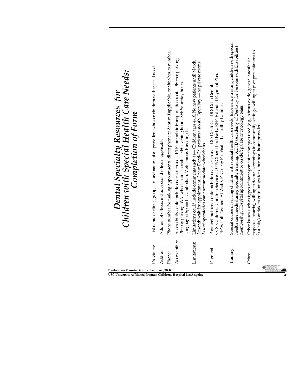| <b>Dental Care Planning Guide</b><br>USC University Affiliated Program Childrens Hospital Los Angeles |                | Children with Special Health Care Needs:<br>Dental Specialty Resources for<br>Completion of Form                                                                                                                                                                                                |
|-------------------------------------------------------------------------------------------------------|----------------|-------------------------------------------------------------------------------------------------------------------------------------------------------------------------------------------------------------------------------------------------------------------------------------------------|
| February, 2000                                                                                        | Providers:     | List name of clinic, group, etc. and names of all providers who see children with special needs.                                                                                                                                                                                                |
|                                                                                                       | Address:       | Address of offices; include second office if applicable.                                                                                                                                                                                                                                        |
|                                                                                                       | Phone:         | Phone number for making appointments, direct phone to dentist if applicable, or after-hours number.                                                                                                                                                                                             |
|                                                                                                       | Accessibility: | Accessibility could include codes such as - PTR: on public transportation route. PF: free parking.<br>PP: pay parking, WA: wheelchair accessible. EH: evening hours. SH: Saturday hours.<br>Languages: Spanish, Cambodian, Vietnamese, Russian, etc.                                            |
|                                                                                                       | Limitations:   | Limitations could include comments such as-Children ages 4-16. No new patients until March.<br>3 month wait for appointment. 2 new Denti-Cal patients/month. Open bay $-$ no private rooms.<br>3/4 of operatories can't accommodate wheelchairs.                                                |
|                                                                                                       | Payment:       | CCS: California Children Services. OTP: Other Third Party. EPP: Extended Payment Plan.<br>Payment methods could include codes such as - DC: Denti-Cal. DD: Delta Dental.<br>FPAV: Full Payment At Visit. CP: Co-pay Per Visit. HF: Healthy Families.                                            |
|                                                                                                       | Training:      | Special course in serving children with special health care needs. Experience treating children with special<br>health care needs during specialty training. ADPD (Academy of Dentistry for Persons with Disabilities)<br>membership. Hospital appointment or on cleft palate or oncology team. |
|                                                                                                       | Other:         | papoose boards), willing to do oral screenings in community settings, willing to give presentations to<br>Other issues such as types of management techniques used (e.g., nitrous oxide, general anesthesia,<br>parents/caretakers or trainings for other healthcare providers.                 |
| $\bullet$ ( ) ) .<br>$\frac{1}{34}$                                                                   |                |                                                                                                                                                                                                                                                                                                 |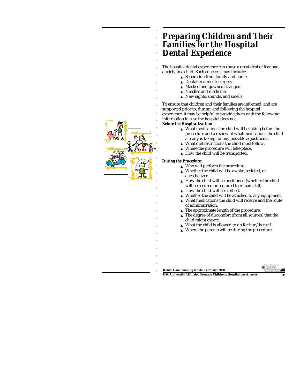### • • • • • *Preparing Children and Their Families for the Hospital Dental Experience*

• • The hospital dental experience can cause a great deal of fear and anxiety in a child. Such concerns may include:

- ▲ Separation from family and home
	- ▲ Dental treatment/surgery
	- ▲ Masked and gowned strangers
	- ▲ Needles and medicine
	- ▲ New sights, sounds, and smells.

• • To ensure that children and their families are informed, and are supported prior to, during, and following the hospital experience, it may be helpful to provide them with the following

information in case the hospital does not.

### *Before the Hospitalization:*

• • •

• • • • • • • • • • • • • • • • • • • • •

- ▲ What medications the child will be taking before the procedure and a review of what medications the child already is taking for any possible adjustments.
- ▲ What diet restrictions the child must follow.
- $\blacktriangle$  Where the procedure will take place.
- $\blacktriangle$  How the child will be transported.

### *During the Procedure:*

- ▲ Who will perform the procedure.
	- ▲ Whether the child will be awake, sedated, or anesthetized.
	- ▲ How the child will be positioned (whether the child will be secured or required to remain still).
- $\blacktriangle$  How the child will be clothed.
- ▲ Whether the child will be attached to any equipment.
- ▲ What medications the child will receive and the route of administration.
- ▲ The approximate length of the procedure.
- ▲ The degree of discomfort (from all sources) that the child might expect.
- ▲ What the child is allowed to do for him/herself.
- $\triangle$  Where the parents will be during the procedure.

**Dental Care Planning Guide February, 2000**



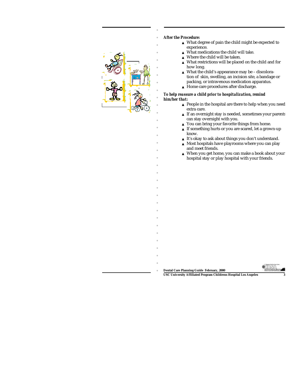

### *After the Procedure:*

• •

• • • • • • • • • • • • • • • • • • • • •

- ▲ What degree of pain the child might be expected to experience.
	- $\blacktriangle$  What medications the child will take.
- $\blacktriangle$  Where the child will be taken.
- ▲ What restrictions will be placed on the child and for how long.
- ▲ What the child's appearance may be discoloration of skin, swelling, an incision site, a bandage or packing, or intravenous medication apparatus.
- ▲ Home care procedures after discharge.

### *To help reassure a child prior to hospitalization, remind him/her that:*

- ▲ People in the hospital are there to help when you need extra care.
- ▲ If an overnight stay is needed, sometimes your parents can stay overnight with you.
- ▲ You can bring your favorite things from home.
- ▲ If something hurts or you are scared, let a grown-up know.
- ▲ It's okay to ask about things you don't understand.
- $\triangle$  Most hospitals have playrooms where you can play and meet friends.
- ▲ When you get home, you can make a book about your hospital stay or play hospital with your friends.

**Dental Care Planning Guide February, 2000 USC University Affiliated Program Childrens Hospital Los Angeles**

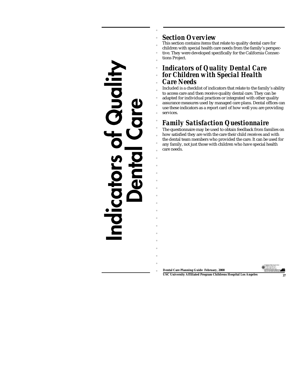## Quality ndicators

### *Section Overview*

• • • • This section contains items that relate to quality dental care for children with special health care needs from the family's perspective. They were developed specifically for the California Connections Project.

• • *Indicators of Quality Dental Care for Children with Special Health*

### • *Care Needs*

•

• • • • • • • • • • • • • • • • • • • • •

• • • • Included is a checklist of indicators that relate to the family's ability to access care and then receive quality dental care. They can be adapted for individual practices or integrated with other quality assurance measures used by managed care plans. Dental offices can use these indicators as a report card of how well you are providing services.

### *Family Satisfaction Questionnaire*

The questionnaire may be used to obtain feedback from families on how satisfied they are with the care their child receives and with the dental team members who provided the care. It can be used for any family, not just those with children who have special health care needs.

**Dental Care Planning Guide February, 2000 USC University Affiliated Program Childrens Hospital Los Angeles**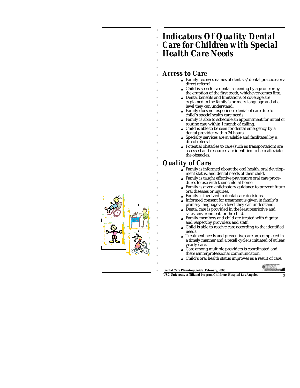### • • • • • *Indicators Of Quality Dental Care for Children with Special Health Care Needs*

### • • *Access to Care*

• • • • • • • • • • • • •

• •

- $\blacktriangle$  Family receives names of dentists/dental practices or a direct referral.
	- ▲ Child is seen for a dental screening by age one or by the eruption of the first tooth, whichever comes first.
		- ▲ Dental benefits and limitations of coverage are explained in the family's primary language and at a level they can understand.
		- ▲ Family does not experience denial of care due to child's specialhealth care needs.
	- ▲ Family is able to schedule an appointment for initial or routine care within 1 month of calling.
	- ▲ Child is able to be seen for dental emergency by a dental provider within 24 hours.
	- ▲ Specialty services are available and facilitated by a direct referral.
	- ▲ Potential obstacles to care (such as transportation) are assessed and resources are identified to help alleviate the obstacles.

### *Quality of Care*

- $\blacktriangle$  Family is informed about the oral health, oral development status, and dental needs of their child.
- ▲ Family is taught effective preventive oral care procedures to use with their child at home.
- ▲ Family is given anticipatory guidance to prevent future oral diseases or injuries.
- ▲ Family is involved in dental care decisions.
- ▲ Informed consent for treatment is given in family's primary language at a level they can understand.
- ▲ Dental care is provided in the least restrictive and safest environment for the child.
- ▲ Family members and child are treated with dignity and respect by providers and staff.
- ▲ Child is able to receive care according to the identified needs.
- ▲ Treatment needs and preventive care are completed in a timely manner and a recall cycle is initiated of at least yearly care.
- ▲ Care among multiple providers is coordinated and there isinterprofessional communication.
- ▲ Child's oral health status improves as a result of care.

**Dental Care Planning Guide February, 2000 USC University Affiliated Program Childrens Hospital Los Angeles**

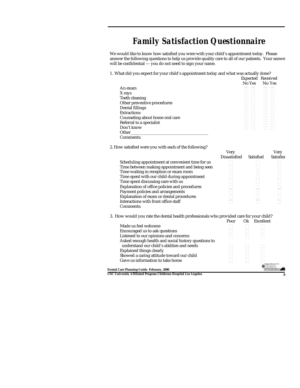### • • *Family Satisfaction Questionnaire*

We would like to know how satisfied you were with your child's appointment today. Please answer the following questions to help us provide quality care to all of our patients. Your answered the struct<br>will be confidential sourced not need to give your name. will be confidential — you do not need to sign your name.

• 1. What did you expect for your child's appointment today and what was actually done? Expected Received

|                                 |        | Laptura nutrivu |
|---------------------------------|--------|-----------------|
|                                 | No Yes | No Yes          |
| An exam                         |        |                 |
| X rays                          |        |                 |
| <b>Teeth cleaning</b>           |        |                 |
| Other preventive procedures     |        |                 |
| Dental fillings                 |        |                 |
| <b>Extractions</b>              |        |                 |
| Counseling about home oral care | I.     |                 |
| Referral to a specialist        |        |                 |
| Don't know                      |        |                 |
| Other                           |        |                 |
| Comments:                       |        |                 |

• 2. How satisfied were you with each of the following?

|                                                      | <b>Very</b>         |           | Verv             |
|------------------------------------------------------|---------------------|-----------|------------------|
|                                                      | <b>Dissatisfied</b> | Satisfied | <b>Satisfiec</b> |
| Scheduling appointment at convenient time for us     |                     |           |                  |
| Time between making appointment and being seen       |                     |           |                  |
| Time waiting in reception or exam room               |                     |           |                  |
| Time spent with our child during appointment         |                     |           |                  |
| Time spent discussing care with us                   |                     |           |                  |
| <b>Explanation of office policies and procedures</b> |                     |           |                  |
| Payment policies and arrangements                    |                     |           |                  |
| Explanation of exam or dental procedures             |                     |           |                  |
| Interactions with front office staff                 |                     |           |                  |
| Comments:                                            |                     |           |                  |

•

| Poor | ∩k | Excellent |
|------|----|-----------|
|      |    |           |
|      |    |           |
|      |    |           |
|      |    |           |
|      |    |           |
|      |    |           |
|      |    |           |
|      |    |           |
|      |    |           |
|      |    | 39        |
|      |    |           |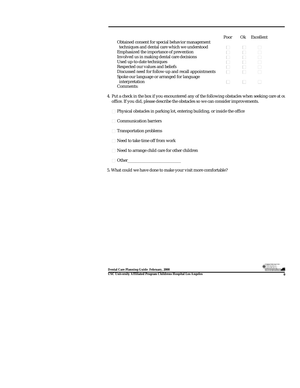|                                                      | Poor | Ok Excellent |
|------------------------------------------------------|------|--------------|
| Obtained consent for special behavior management     |      |              |
| techniques and dental care which we understood       |      |              |
| Emphasized the importance of prevention              |      |              |
| Involved us in making dental care decisions          |      |              |
| Used up-to-date techniques                           |      |              |
| Respected our values and beliefs                     |      |              |
| Discussed need for follow-up and recall appointments |      |              |
| Spoke our language or arranged for language          |      |              |
| interpretation                                       |      |              |
| Comments:                                            |      |              |

• 4. Put a check in the box if you encountered any of the following obstacles when seeking care at ou • office. If you did, please describe the obstacles so we can consider improvements.

 $\Box$  Physical obstacles in parking lot, entering building, or inside the office

• ■ Communication barriers

 $\Box$  Transportation problems

 $\Box$  Need to take time off from work

 $\Box$  Need to arrange child care for other children

■ Other\_\_\_\_\_\_\_\_\_\_\_\_\_\_\_\_\_\_\_\_\_\_\_\_\_\_

• 5. What could we have done to make your visit more comfortable?

**Dental Care Planning Guide February, 2000 USC University Affiliated Program Childrens Hospital Los Angeles USC University Affiliated Program Childrens Hospital Los Angeles** • **Dental Care Planning Guide February, 2000**

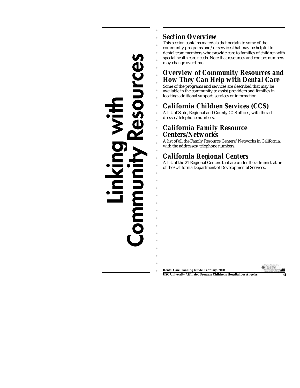## **NUCS**

### *Section Overview*

• • • • • • • • • • • • • • • • • • • • • • • • • • • • • • • • •

This section contains materials that pertain to some of the community programs and/or services that may be helpful to dental team members who provide care to families of children with special health care needs. Note that resources and contact numbers may change over time.

### *Overview of Community Resources and How They Can Help with Dental Care*

Some of the programs and services are described that may be available in the community to assist providers and families in locating additional support, services or information.

### *California Children Services (CCS)*

A list of State, Regional and County CCS offices, with the addresses/telephone numbers.

### *California Family Resource Centers/Networks*

A list of all the Family Resource Centers/Networks in California, with the addresses/telephone numbers.

### *California Regional Centers*

A list of the 21 Regional Centers that are under the administration of the California Department of Developmental Services.

**Dental Care Planning Guide February, 2000 USC University Affiliated Program Childrens Hospital Los Angeles**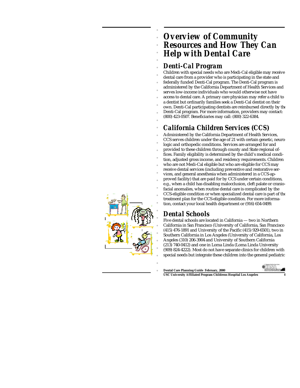### • • • • *Overview of Community Resources and How They Can Help with Dental Care*

### • • *Denti-Cal Program*

- Children with special needs who are Medi-Cal eligible may receive dental care from a provider who is participating in the state and
- federally funded Denti-Cal program. The Denti-Cal program is
- • administered by the California Department of Health Services and
- serves low-income individuals who would otherwise not have access to dental care. A primary care physician may refer a child to
- a dentist but ordinarily families seek a Denti-Cal dentist on their
- own. Denti-Cal participating dentists are reimbursed directly by the
- Denti-Cal program. For more information, providers may contact:
- (800) 423-0507. Beneficiaries may call: (800) 322-6384.

### • *California Children Services (CCS)*

- Administered by the California Department of Health Services, CCS serves children under the age of 21 with certain genetic, neuro-
- logic and orthopedic conditions. Services are arranged for and provided to these children through county and State regional of-
- fices. Family eligibility is determined by the child's medical condi-
- tion, adjusted gross income, and residency requirements. Children who are not Medi-Cal eligible but who are eligible for CCS may
- receive dental services (including preventive and restorative ser-
- vices, and general anesthesia when administered in a CCS-ap-
- proved facility) that are paid for by CCS under certain conditions,
- e.g., when a child has disabling malocclusion, cleft palate or craniofacial anomalies, when routine dental care is complicated by the
- CCS-eligible condition or when specialized dental care is part of the treatment plan for the CCS-eligible condition. For more informa-
- tion, contact your local health department or (916) 654-0499.

### *Dental Schools*

Five dental schools are located in California — two in Northern California in San Francisco (University of California, San Francisco (415) 476-1891 and University of the Pacific (415) 929-6501), two in Southern California in Los Angeles (University of California, Los Angeles (310) 206-3904 and University of Southern California (213) 740-0412) and one in Loma Linda (Loma Linda University (909) 824-4222). Most do not have separate clinics for children with special needs but integrate these children into the general pediatric

**Dental Care Planning Guide February, 2000**



**4**

**USC University Affiliated Program Childrens Hospital Los Angeles**



• •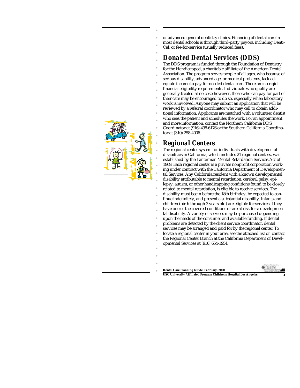

• • or advanced general dentistry clinics. Financing of dental care in most dental schools is through third-party payors, including Denti-Cal, or fee-for-service (usually reduced fees).

### • *Donated Dental Services (DDS)*

- • The DDS program is funded through the Foundation of Dentistry for the Handicapped, a charitable affiliate of the American Dental
- Association. The program serves people of all ages, who because of
- • serious disability, advanced age, or medical problems, lack adequate income to pay for needed dental care. There are no rigid
- financial eligibility requirements. Individuals who qualify are generally treated at no cost; however, those who can pay for part of
- their care may be encouraged to do so, especially when laboratory work is involved. Anyone may submit an application that will be
- reviewed by a referral coordinator who may call to obtain addi-
- tional information. Applicants are matched with a volunteer dentist who sees the patient and schedules the work. For an appointment and more information, contact the Northern California DDS
	- Coordinator at (916) 498-6176 or the Southern California Coordinator at (310) 258-4006.

### *Regional Centers*

•

• • • • • • • • • • • •

The regional center system for individuals with developmental disabilities in California, which includes 21 regional centers, was established by the Lanterman Mental Retardation Services Act of 1969. Each regional center is a private nonprofit corporation working under contract with the California Department of Developmental Services. Any California resident with a known developmental disability attributable to mental retardation, cerebral palsy, epilepsy, autism, or other handicapping conditions found to be closely related to mental retardation, is eligible to receive services. The disability must begin before the 18th birthday, be expected to continue indefinitely, and present a substantial disability. Infants and children (birth through 3 years old) are eligible for services if they have one of the covered conditions or are at risk for a developmental disability. A variety of services may be purchased depending upon the needs of the consumer and available funding. If dental problems are detected by the client service coordinator, dental services may be arranged and paid for by the regional center. To locate a regional center in your area, see the attached list or contact the Regional Center Branch at the California Department of Developmental Services at (916) 654-1954.

**Dental Care Planning Guide February, 2000**

**43**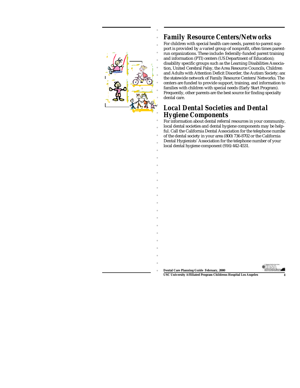### *Family Resource Centers/Networks*



For children with special health care needs, parent-to-parent support is provided by a varied group of nonprofit, often times parentrun organizations. These include: federally-funded parent training and information (PTI) centers (US Department of Education); disability specific groups such as the Learning Disabilities Association, United Cerebral Palsy, the Area Resource Councils, Children and Adults with Attention Deficit Disorder, the Autism Society; and the statewide network of Family Resource Centers/Networks. The centers are funded to provide support, training, and information to families with children with special needs (Early Start Program). Frequently, other parents are the best source for finding specialty dental care.

### *Local Dental Societies and Dental Hygiene Components*

For information about dental referral resources in your community, local dental societies and dental hygiene components may be helpful. Call the California Dental Association for the telephone number of the dental society in your area (800) 736-8702 or the California Dental Hygienists' Association for the telephone number of your local dental hygiene component (916) 442-4531.

• •

• • • •

• •

• • • • •

• •

- 
- 
- 
- •
	-
- •
	-
- •
- •
	-
- -
	-
	-

**Dental Care Planning Guide February, 2000 USC University Affiliated Program Childrens Hospital Los Angeles**

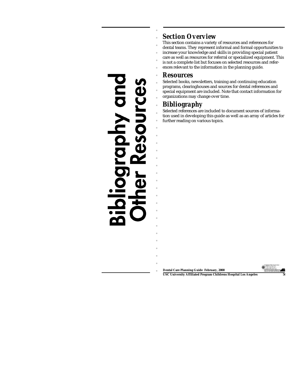### 69 iography and

### *Section Overview*

• • This section contains a variety of resources and references for dental teams. They represent informal and formal opportunities to

- increase your knowledge and skills in providing special patient
- care as well as resources for referral or specialized equipment. This is not a complete list but focuses on selected resources and refer-
- ences relevant to the information in the planning guide.

### • *Resources*

•

• • • • • • • • • • • • • • • • • • • • • • •

- • Selected books, newsletters, training and continuing education programs, clearinghouses and sources for dental references and special equipment are included. Note that contact information for
- organizations may change over time.

### *Bibliography*

Selected references are included to document sources of information used in developing this guide as well as an array of articles for further reading on various topics.

**Dental Care Planning Guide February, 2000**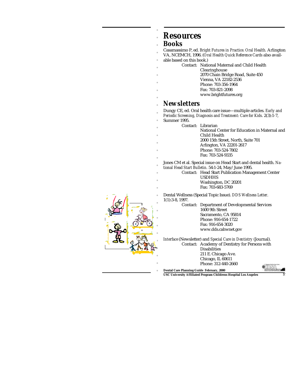| $\bullet$ | <b>Resources</b>                                                                              |                                                                                                                                            |  |  |  |
|-----------|-----------------------------------------------------------------------------------------------|--------------------------------------------------------------------------------------------------------------------------------------------|--|--|--|
|           | <b>Books</b>                                                                                  |                                                                                                                                            |  |  |  |
|           | Casamassimo P, ed. Bright Futures in Practice. Oral Health. Arlington                         |                                                                                                                                            |  |  |  |
|           | VA, NCEMCH, 1996. (Oral Health Quick Reference Cards also avail-<br>able based on this book.) |                                                                                                                                            |  |  |  |
|           |                                                                                               | Contact: National Maternal and Child Health                                                                                                |  |  |  |
|           |                                                                                               | Clearinghouse                                                                                                                              |  |  |  |
|           |                                                                                               | 2070 Chain Bridge Road, Suite 450                                                                                                          |  |  |  |
|           |                                                                                               | Vienna, VA 22182-2536                                                                                                                      |  |  |  |
|           |                                                                                               | Phone: 703-356-1964<br>Fax: 703-821-2098                                                                                                   |  |  |  |
|           |                                                                                               | www.brightfutures.org                                                                                                                      |  |  |  |
|           |                                                                                               |                                                                                                                                            |  |  |  |
|           | <b>Newsletters</b>                                                                            |                                                                                                                                            |  |  |  |
|           | Summer 1995.                                                                                  | Dungy CE, ed. Oral health care issue-multiple articles. Early and<br>Periodic Screening, Diagnosis and Treatment: Care for Kids. 2(3):1-7, |  |  |  |
|           |                                                                                               | Contact: Librarian                                                                                                                         |  |  |  |
|           |                                                                                               | National Center for Education in Maternal and                                                                                              |  |  |  |
|           |                                                                                               | Child Health                                                                                                                               |  |  |  |
|           |                                                                                               | 2000 15th Street, North, Suite 701                                                                                                         |  |  |  |
|           |                                                                                               | Arlington, VA 22201-2617                                                                                                                   |  |  |  |
|           |                                                                                               | Phone: 703-524-7802                                                                                                                        |  |  |  |
|           |                                                                                               | Fax: 703-524-9335                                                                                                                          |  |  |  |
|           |                                                                                               | Jones CM et al. Special issue on Head Start and dental health. Na-                                                                         |  |  |  |
|           | tional Head Start Bulletin. 54:1-24, May/June 1995.                                           |                                                                                                                                            |  |  |  |
|           |                                                                                               | <b>Contact: Head Start Publication Management Center</b><br><b>USDHHS</b>                                                                  |  |  |  |
|           |                                                                                               | Washington, DC 20201                                                                                                                       |  |  |  |
|           |                                                                                               | Fax: 703-683-5769                                                                                                                          |  |  |  |
|           | $1(1):3-8,1997.$                                                                              | Dental Wellness (Special Topic Issue). DDS Wellness Letter.                                                                                |  |  |  |
|           |                                                                                               | <b>Contact: Department of Developmental Services</b><br>1600 9th Street                                                                    |  |  |  |
|           |                                                                                               | Sacramento, CA 95814                                                                                                                       |  |  |  |
|           |                                                                                               | Phone: 916-654-1722                                                                                                                        |  |  |  |
|           |                                                                                               | Fax: 916-654-3020                                                                                                                          |  |  |  |
|           |                                                                                               | www.dds.cahwnet.gov                                                                                                                        |  |  |  |
|           |                                                                                               | Interface (Newsletter) and Special Care in Dentistry (Journal).                                                                            |  |  |  |
|           |                                                                                               | Contact: Academy of Dentistry for Persons with                                                                                             |  |  |  |
|           |                                                                                               | <b>Disabilities</b>                                                                                                                        |  |  |  |
|           |                                                                                               | 211 E. Chicago Ave.                                                                                                                        |  |  |  |
|           |                                                                                               | Chicago, IL 60611                                                                                                                          |  |  |  |
|           |                                                                                               | Phone: 312-440-2660                                                                                                                        |  |  |  |
|           | Dental Care Planning Guide February, 2000                                                     | <b>USC University Affiliated Program Childrens Hospital Los Angeles</b>                                                                    |  |  |  |

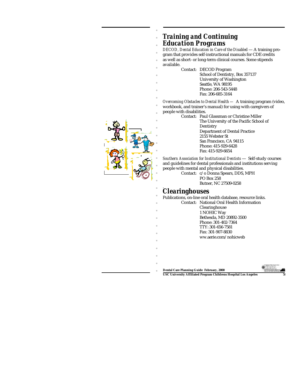### • • • *Training and Continuing Education Programs*

*DECOD, Dental Education in Care of the Disabled* — A training pro-

- gram that provides self-instructional manuals for CDE credits
- as well as short- or long-term clinical courses. Some stipends
- available.

•

• • • •

• • • • • • • • • • •

- Contact: DECOD Program
	- School of Dentistry, Box 357137
	- University of Washington
- • Seattle, WA 98195
	- Phone: 206-543-5448 Fax: 206-685-3164
	-

*Overcoming Obstacles to Dental Health —* A training program (video, workbook, and trainer's manual) for using with caregivers of

- people with disabilities.
	- Contact: Paul Glassman or Christine Miller The University of the Pacific School of **Dentistry** Department of Dental Practice 2155 Webster St San Francisco, CA 94115 Phone: 415-929-6428 Fax: 415-929-6654

*Southern Association for Institutional Dentists* — Self-study courses and guidelines for dental professionals and institutions serving people with mental and physical disabilities.

Contact: c/o Donna Spears, DDS, MPH PO Box 258 Butner, NC 27509-0258

### . *Clearinghouses*

Publications, on-line oral health database, resource links.

- Contact: National Oral Health Information Clearinghouse 1 NOHIC Way Bethesda, MD 20892-3500 Phone: 301-402-7364 TTY: 301-656-7581 Fax: 301-907-8830
	- ww.aerie.com/nohicweb

**Dental Care Planning Guide February, 2000**



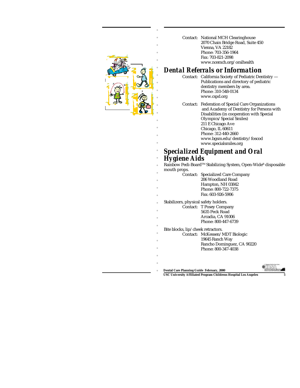

| <b>Contact:</b> National MCH Clearinghouse |
|--------------------------------------------|
| 2070 Chain Bridge Road, Suite 450          |
| Vienna, VA 22182                           |
| Phone: 703-356-1964                        |
| Fax: 703-821-2098                          |
| www.ncemch.org/oralhealth                  |

### *Dental Referrals or Information*

| Contact: California Society of Pediatric Dentistry — |
|------------------------------------------------------|
| Publications and directory of pediatric              |
| dentistry members by area.                           |
| Phone: 310-548-0134                                  |
| www.cspd.org                                         |

Contact: Federation of Special Care Organizations and Academy of Dentistry for Persons with Disabilities (in cooperation with Special Olympics/Special Smiles) 211 E Chicago Ave Chicago, IL 60611 Phone: 312-440-2660 www.bgsm.edu/dentistry/foscod www.specialsmiles.org

### *Specialized Equipment and Oral Hygiene Aids*

| $\bullet$ | ິ<br>Rainbow Pedi-Board™ Stabilizing System, Open-Wide <sup>R</sup> disposable<br>mouth props. |  |
|-----------|------------------------------------------------------------------------------------------------|--|
| ۰         | Contact: Specialized Care Company                                                              |  |
| ۰         | 206 Woodland Road                                                                              |  |
|           | Hampton, NH 03842                                                                              |  |
| ۰         | Phone: 800-722-7375                                                                            |  |
| $\bullet$ | Fax: 603-926-5906                                                                              |  |
| $\bullet$ | Stabilizers, physical safety holders.                                                          |  |
|           | <b>Contact: T Posey Company</b>                                                                |  |
| ۰         | 5635 Peck Road                                                                                 |  |
| ۰         | Arcadia, CA 91006                                                                              |  |
|           | Phone: 800-447-6739                                                                            |  |
| ۰         | Bite blocks, lip/cheek retractors.                                                             |  |
| ۰         | Contact: McKessen/MDT Biologic                                                                 |  |
|           | 19645 Ranch Way                                                                                |  |
| ۰         | Rancho Dominguez, CA 90220                                                                     |  |
| ۰         | Phone: 800-347-4038                                                                            |  |
|           |                                                                                                |  |
| ۰         |                                                                                                |  |
| ۰         |                                                                                                |  |
| ۰         | Dental Care Planning Guide February, 2000                                                      |  |

**USC University Affiliated Program Childrens Hospital Los Angeles**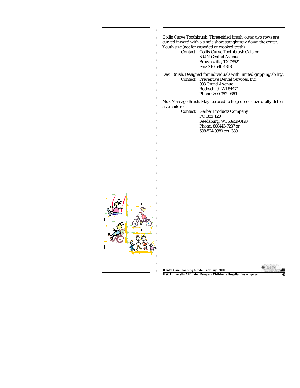

**Dental Care Planning Guide February, 2000**

•

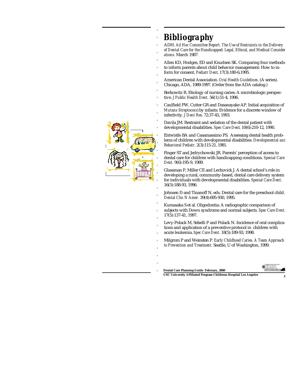### *Bibliography*

• •

• • • • • • •

• • •

• • ADH. *Ad Hoc Committee Report*. *The Use of Restraints in the Delivery of Dental Care for the Handicapped: Legal, Ethical, and Medical Consider ations.* March 1987.

- Allen KD, Hodges, ED and Knudsen SK. Comparing four methods
- to inform parents about child behavior management: How to inform for consent. *Pediatr Dent*. 17(3):180-6,1995.
- • American Dental Association. *Oral Health Guidelines*. (A series). Chicago, ADA, 1989-1997. (Order from the ADA catalog.)
- • Berkowitz R. Etiology of nursing caries: A microbiologic perspective. *J Public Health Dent.* 56(1):51-4, 1996.
- • Caulfield PW, Cutter GR and Dasanayake AP. Initial acquisition of *Mutans Streptococci* by infants: Evidence for a discrete window of infectivity. *J Dent Res.* 72:37-45, 1993.

Davila JM. Restraint and sedation of the dental patient with developmental disabilities*. Spec Care Dent*. 10(6):210-12, 1990.

Entwistle BA and Casamassimo PS. Assessing dental health problems of children with developmental disabilities. *Developmental and Behavioral Pediatr*. 2(3):115-21, 1981.

Finger ST and Jedrychowski JR. Parents' perception of access to dental care for children with handicapping conditions. *Special Care Dent.* 9(6):195-9, 1989.

Glassman P, Miller CE and Lechovick J. A dental school's role in developing a rural, community-based, dental care delivery system for individuals with developmental disabilities. *Special Care Dent*. 16(5):188-93, 1996.

Johnsen D and Tinanoff N. eds. Dental care for the preschool child. *Dental Clin N Amer.* 39(4):695-930, 1995.

Kumasaka S et al. Oligodontia: A radiographic comparison of subjects with Down syndrome and normal subjects. *Spec Care Dent.* 17(5):137-41, 1997.

Levy-Polack M, Sebelli P and Polack N. Incidence of oral complications and application of a preventive protocol in children with acute leukemia. *Spec Care Dent.* 18(5):189-93, 1998.

• • Milgrom P and Weinsten P. *Early Childhood Caries. A Team Approach to Prevention and Treatment.* Seattle, U of Washington, 1999.

**Dental Care Planning Guide February, 2000**



**USC University Affiliated Program Childrens Hospital Los Angeles**

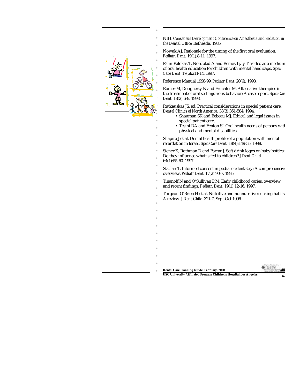• • • • • • • • •

• • •

• •

• • • • • • • • • • NIH. *Consensus Development Conference on Anesthesia and Sedation in the Dental Office*. Bethesda, 1985.

Nowak AJ. Rationale for the timing of the first oral evaluation. *Pediatr. Dent.* 19(1):8-11, 1997.

Palin-Palokas T, Nordblad A and Remes-Lyly T. Video as a medium of oral health education for children with mental handicaps. *Spec Care Dent.* 17(6):211-14, 1997.

Reference Manual 1998-99. *Pediatr Dent.* 20(6), 1998.

Romer M, Dougherty N and Fruchter M. Alternative therapies in the treatment of oral self-injurious behavior: A case report. *Spec Care Dent.* 18(2):6-9, 1998.

Rutkauskas JS. ed. Practical considerations in special patient care. *Dental Clinics of North America.* 38(3):361-584, 1994.

- Shauman SK and Bebeau MJ. Ethical and legal issues in special patient care.
- Tesini DA and Fenton SJ. Oral health needs of persons with physical and mental disabilities.
- • Shapira J et al. Dental health profile of a population with mental retardation in Israel. *Spec Care Dent.* 18(4):149-55, 1998.

• • Siener K, Rothman D and Farrar J. Soft drink logos on baby bottles: Do they influence what is fed to children? *J Dent Child*. 64(1):55-60, 1997.

• • St Clair T. Informed consent in pediatric dentistry: A comprehensive overview. *Pediatr Dent.* 17(2):90-7, 1995.

• • Tinanoff N and O'Sullivan DM. Early childhood caries: overview and recent findings. *Pediatr. Dent.* 19(1):12-16, 1997.

• Turgeon-O'Brien H et al. Nutritive and nonnutritive sucking habits: A review. *J Dent Child.* 321-7, Sept-Oct 1996.

**Dental Care Planning Guide February, 2000 USC University Affiliated Program Childrens Hospital Los Angeles**

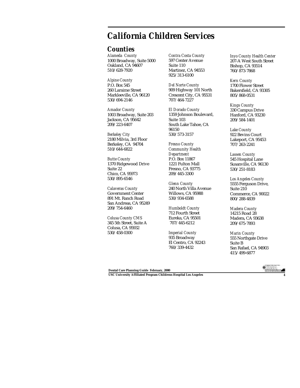### *California Children Services*

### *Counties*

*Alameda County* 1000 Broadway, Suite 5000 Oakland, CA 94607 510/628-7920

*Alpine County* P.O. Box 545 260 Laraime Street Markleeville, CA 96120 530/694-2146

*Amador County* 1003 Broadway, Suite 203 Jackson, CA 95642 209/223-6407

*Berkeley City* 2180 Milvia, 3rd Floor Berkeley, CA 94704 510/644-6822

*Butte County* 1370 Ridgewood Drive Suite 22 Chico, CA 95973 530/895-6546

*Calaveras County* Government Center 891 Mt. Ranch Road San Andreas, CA 95249 209/754-6460

*Colusa County CMS* 345 5th Street, Suite A Colusa, CA 95932 530/458-0300

*Contra Costa County* 597 Center Avenue Suite 110 Martinez, CA 94553 925/313-6100

*Del Norte County* 909 Highway 101 North Crescent City, CA 95531 707/464-7227

*El Dorado County* 1359 Johnson Boulevard, Suite 103 South Lake Tahoe, CA 96150 530/573-3157

*Fresno County Community Health Department* P.O. Box 11867 1221 Fulton Mall Fresno, CA 93775 209/445-3300

*Glenn County* 240 North Villa Avenue Willows, CA 95988 530/934-6588

*Humboldt County* 712 Fourth Street Eureka, CA 95501 707/445-6212

*Imperial County* 935 Broadway El Centro, CA 92243 760/339-4432

*Inyo County Health Center* 207-A West South Street Bishop, CA 93514 760/873-7868

*Kern County* 1700 Flower Street Bakersfield, CA 93305 805/868-0531

*Kings County* 330 Campus Drive Hanford, CA 93230 209/584-1401

*Lake County* 922 Bevins Court Lakeport, CA 95453 707/263-2241

*Lassen County* 545 Hospital Lane Susanville, CA 96130 530/251-8183

*Los Angeles County* 5555 Ferguson Drive, Suite 210 Commerce, CA 90022 800/288-4839

*Madera County* 14215 Road 28 Madera, CA 93638 209/675-7893

*Marin County* 555 Northgate Drive Suite B San Rafael, CA 94903 415/499-6877

**Dental Care Planning Guide February, 2000 USC University Affiliated Program Childrens Hospital Los Angeles**

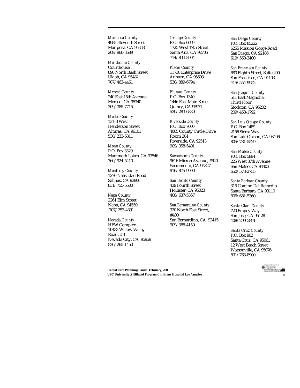*Mariposa County* 4988 Eleventh Street Mariposa, CA 95338 209/966-3689

*Mendocino County* **Courthouse** 890 North Bush Street Ukiah, CA 95482 707/463-4461

*Merced County* 240 East 15th Avenue Merced, CA 95340 209/385-7715

*Modoc County* 131-B West Henderson Street Alturas, CA 96101 530/233-6311

*Mono County* P.O. Box 3329 Mammoth Lakes, CA 93546 760/924-5410

*Monterey County* 1270 Natividad Road Salinas, CA 93906 831/755-5500

*Napa County* 2261 Elm Street Napa, CA 94559 707/253-4391

*Nevada County* HEW Complex 10433 Willow Valley Road, #B Nevada City, CA 95959 530/265-1450

*Orange County* P.O. Box 6099 1725 West 17th Street Santa Ana, CA 92706 714/834-8004

*Placer County* 11730 Enterprise Drive Auburn, CA 95603 530/889-6794

*Plumas County* P.O. Box 1340 1446 East Main Street Quincy, CA 95971 530/283-6330

*Riverside County* P.O. Box 7600 4065 County Circle Drive Room 204 Riverside, CA 92513 909/358-5401

*Sacramento County* 9616 Micron Avenue, #640 Sacramento, CA 95827 916/875-9900

*San Benito County* 439 Fourth Street Hollister, CA 95023 408/637-5367

*San Bernardino County* 320 North East Street, #400 San Bernardino, CA 92415 909/388-4150

*San Diego County* P.O. Box 85222 6255 Mission Gorge Road San Diego, CA 92186 619/560-3400

*San Francisco County* 680 Eighth Street, Suite 200 San Francisco, CA 94103 415/554-9952

*San Joaquin County* 511 East Magnolia, Third Floor Stockton, CA 95202 209/468-1792

*San Luis Obispo County* P.O. Box 1489 2156 Sierra Way San Luis Obispo, CA 93406 805/781-5529

*San Mateo County* P.O. Box 5894 225 West 37th Avenue San Mateo, CA 94403 650/573-2755

*Santa Barbara County* 315 Camino Del Remedio Santa Barbara, CA 93110 805/681-5360

*Santa Clara County* 720 Empey Way San Jose, CA 95128 408/299-5891

*Santa Cruz County* P.O. Box 962 Santa Cruz, CA 95061 12 West Beach Street Watsonville, CA 95076 831/763-8900

**Dental Care Planning Guide February, 2000 USC University Affiliated Program Childrens Hospital Los Angeles**

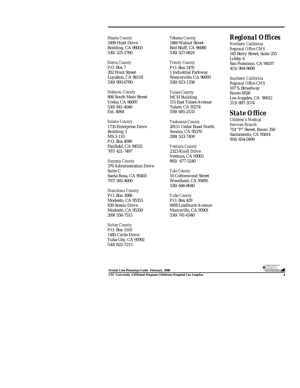*Shasta County* 3499 Hiatt Drive Redding, CA 96003 530/225-5760

*Sierra County* P.O. Box 7 202 Front Street Loyalton, CA 96118 530/993-6700

*Siskiyou County* 806 South Main Street Yreka, CA 96097 530/841-4040 Ext. 4064

*Solano County* 1735 Enterprise Drive Building 3 MS 3-110 P.O. Box 4090 Fairfield, CA 94533 707/421-7497

*Sonoma County* 370 Administration Drive Suite C Santa Rosa, CA 95403 707/565-4600

*Stanislaus County* P.O. Box 3088 Modesto, CA 95353 830 Scenic Drive Modesto, CA 95350 209/558-7515

*Sutter County* P.O. Box 1510 1445 Circle Drive Yuba City, CA 95992 530/822-7215

*Tehama County* 1860 Walnut Street Red Bluff, CA 96080 530/527-6824

*Trinity County* P.O. Box 1470 1 Industrial Parkway Weaverville, CA 96093 530/623-1358

*Tulare County* MCH Building 115 East Tulare Avenue Tulare, CA 93274 559/685-2533

*Tuolumne County* 20111 Cedar Road North Sonora, CA 95370 209/533-7404

*Ventura County* 2323 Knoll Drive Ventura, CA 93003 805/ 677-5240

*Yolo County* 10 Cottonwood Street Woodland, CA 95695 530/666-8640

*Yuba County* P.O. Box 429 6000 Lindhurst Avenue Marysville, CA 95901 530/741-6340

### *Regional Offices*

*Northern California Regional Office CMS* 185 Berry Street, Suite 255 Lobby  $6^{\degree}$ San Francisco, CA 94107 415/904-9699

*Southern California Regional Office CMS* 107 S. Broadway Room 6026 Los Angeles, CA 90012 213/897-3574

### *State Office*

*Children's Medical Services Branch* 714 "P" Street, Room 350 Sacramento, CA 95814 916/654-0499

**Dental Care Planning Guide February, 2000 USC University Affiliated Program Childrens Hospital Los Angeles**

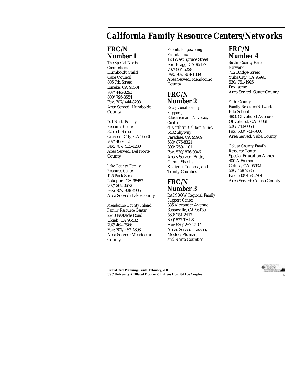### *California Family Resource Centers/Networks*

### *FRC/N Number 1*

*The Special Needs Connections* Humboldt Child Care Council 805 7th Street Eureka, CA 95501 707/444-8293 800/795-3554 Fax: 707/444-8298 Area Served: Humboldt County

*Del Norte Family Resource Center* 875 5th Street Crescent City, CA 95531 707/465-1131 Fax: 707/465-4230 Area Served: Del Norte County

*Lake County Family Resource Center* 125 Park Street Lakeport, CA 95453 707/262-0672 Fax: 707/928-4905 Area Served: Lake County

*Mendocino County Inland Family Resource Center* 2240 Eastside Road Ukiah, CA 95482 707/462-7566 Fax: 707/463-4898 Area Served: Mendocino County

*Parents Empowering Parents, Inc*. 123 West Spruce Street Fort Bragg, CA 95437 707/964-5228 Fax: 707/964-1889 Area Served: Mendocino County

### *FRC/N Number 2*

*Exceptional Family Support, Education and Advocacy Center of Northern California, Inc.* 6402 Skyway Paradise, CA 95969 530/876-8321 800/750-1101 Fax: 530/876-0346 Areas Served: Butte, Glenn, Shasta, Siskiyou, Tehama, and Trinity Counties

### *FRC/N Number 3*

*RAINBOW Regional Family Support Center* 336 Alexander Avenue Susanville, CA 96130 530/251-2417 800/537-TALK Fax: 530/257-2407 Areas Served: Lassen, Modoc, Plumas, and Sierra Counties

### *FRC/N Number 4*

*Sutter County Parent Network* 712 Bridge Street Yuba City, CA 95991 530/751-1925 Fax: same Area Served: Sutter County

*Yuba County Family Resource Network* Ella School 4850 Olivehurst Avenue Olivehurst, CA 95961 530/743-6063 Fax: 530/741-7806 Area Served: Yuba County

*Colusa County Family Resource Center* Special Education Annex 400-A Fremont Colusa, CA 95932 530/458-7535 Fax: 530/458-5764 Area Served: Colusa County

**Dental Care Planning Guide February, 2000 USC University Affiliated Program Childrens Hospital Los Angeles**

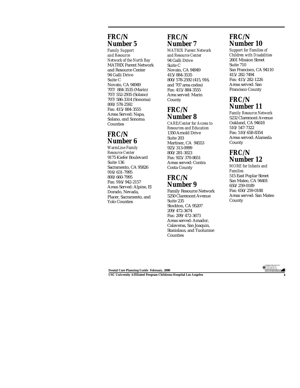*Family Support and Resource Network of the North Bay* MATRIX Parent Network and Resource Center 94 Galli Drive Suite C Novato, CA 94949 707/ 884-3535 (Marin) 707/552-2935 (Solano) 707/586-3314 (Sonoma) 800/578-2592 Fax: 415/884-3555 Areas Served: Napa, Solano, and Sonoma Counties

### *FRC/N Number 6*

*WarmLine Family Resource Center* 9175 Kiefer Boulevard Suite 136 Sacramento, CA 95826 916/631-7995 800/660-7995 Fax: 916/942-2157 Areas Served: Alpine, El Dorado, Nevada, Placer, Sacramento, and Yolo Counties

### *FRC/N Number 7*

*MATRIX Parent Network and Resource Center* 94 Galli Drive Suite C Novato, CA 94949 415/884-3535 800/578-2592 (415, 916, and 707 area codes) Fax: 415/884-3555 Area served: Marin County

### *FRC/N Number 8*

*CARE/Center for Access to Resources and Education* 1350 Arnold Drive Suite 203 Martinez, CA 94553 925/313-0999 800/281-3023 Fax: 925/370-8651 Areas served: Contra Costa County

### *FRC/N Number 9*

Family Resource Network 5250 Claremont Avenue Suite 235 Stockton, CA 95207 209/472-3674 Fax: 209/472-3673 Areas served: Amador, Calaveras, San Joaquin, Stanislaus, and Tuolumne **Counties** 

### *FRC/N Number 10*

*Support for Families of Children with Disabilities* 2601 Mission Street Suite 710 San Francisco, CA 94110 415/282-7494 Fax: 415/282-1226 Areas served: San Francisco County

### *FRC/N Number 11*

*Family Resource Network* 5232 Claremont Avenue Oakland, CA 94618 510/547-7322 Fax: 510/658-8354 Areas served: Alameda County

### *FRC/N Number 12*

*MORE for Infants and Families* 515 East Poplar Street San Mateo, CA 94401 650/259-0189 Fax: 650/259-0188 Areas served: San Mateo County

**Dental Care Planning Guide February, 2000 USC University Affiliated Program Childrens Hospital Los Angeles**

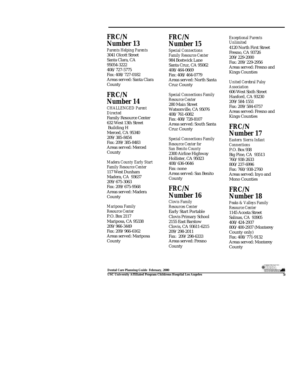*Parents Helping Parents* 3041 Olcott Street Santa Clara, CA 95054-3222 408/727-5775 Fax: 408/727-0182 Areas served: Santa Clara **County** 

### *FRC/N Number 14*

*CHALLENGED Parent Directed* Family Resource Center 632 West 13th Street Building H Merced, CA 95340 209/385-8454 Fax: 209/385-8483 Areas served: Merced County

*Madera County Early Start Family Resource Center* 117 West Dunham Madera, CA 93637 209/675-3063 Fax: 209/675-9568 Areas served: Madera County

*Mariposa Family Resource Center* P.O. Box 2117 Mariposa, CA 95338 209/966-3449 Fax: 209/966-6162 Areas served: Mariposa County

### *FRC/N Number 15*

*Special Connections Family Resource Center* 984 Bostwick Lane Santa Cruz, CA 95062 408/464-0669 Fax: 408/464-0779 Areas served: North Santa Cruz County

*Special Connections Family Resource Center* 280 Main Street Watsonville, CA 95076 408/761-6082 Fax: 408/728-8107 Areas served: South Santa Cruz County

*Special Connections Family Resource Center for San Benito County* 2300 Airline Highway Hollister, CA 95023 408/636-0646 Fax: none Areas served: San Benito **County** 

### *FRC/N Number 16*

*Clovis Family Resources Center* Early Start Portable Clovis Primary School 2155 East Barstow Clovis, CA 93611-6215 209/298-2011 Fax: 209/298-6333 Areas served: Fresno **County** 

*Exceptional Parents Unlimited* 4120 North First Street Fresno, CA 93726 209/229-2000 Fax: 209/229-2956 Areas served: Fresno and Kings Counties

*United Cerebral Palsy Association* 606 West Sixth Street Hanford, CA 93230 209/584-1551 Fax: 209/584-6757 Areas served: Fresno and Kings Counties

### *FRC/N Number 17*

*Eastern Sierra Infant Connections* P.O. Box 938 Big Pine, CA 93513 760/938-2633 800/237-6996 Fax: 760/938-2760 Areas served: Inyo and Mono Counties

### *FRC/N Number 18*

*Peaks & Valleys Family Resource Center* 1145 Acosta Street Salinas, CA 93905 408/424-2937 800/400-2937 (Monterey County only) Fax: 408/771-9132 Areas served: Monterey County

**Dental Care Planning Guide February, 2000 USC University Affiliated Program Childrens Hospital Los Angeles**

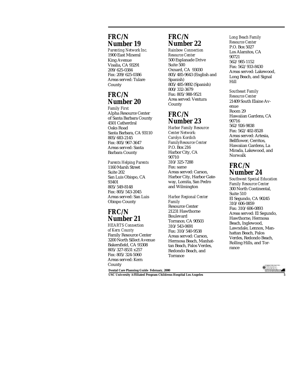*Parenting Network Inc.* 1900 East Mineral King Avenue Visalia, CA 93291 209/625-0384 Fax: 209/625-0386 Areas served: Tulare County

### *FRC/N Number 20*

*Family First* Alpha Resource Center of Santa Barbara County 4501 Catherdral Oaks Road Santa Barbara, CA 93110 805/683-2145 Fax: 805/967-3647 Areas served: Santa Barbara County

*Parents Helping Parents* 1160 Marsh Street Suite 202 San Luis Obispo, CA 93401 805/549-8148 Fax: 805/543-2045 Areas served: San Luis Obispo County

### *FRC/N Number 21*

*HEARTS Connection of Kern County* Family Resource Center 3200 North Sillect Avenue Bakersfield, CA 93308 805/327-8531 x257 Fax: 805/324-5060 Areas served: Kern **County** 

**Dental Care Planning Guide February, 2000 USC University Affiliated Program Childrens Hospital Los Angeles**

### *FRC/N Number 22*

*Rainbow Connection Resource Center* 500 Esplanade Drive Suite 500 Oxnard, CA 93030 805/485-9643 (English and Spanish) 805/485-9892 (Spanish) 800/332-3679 Fax: 805/988-9521 Area served: Ventura County

### *FRC/N Number 23*

*Harbor Family Resource Center Network: Carolyn Kordich FamilyResource Center* P.O. Box 216 Harbor City, CA 90710 310/325-7288 Fax: same Areas served: Carson, Harbor City, Harbor Gateway, Lomita, San Pedro and Wilmington

*Harbor Regional Center Family* Resource Center 21231 Hawthorne Boulevard Torrance, CA 90503 310/543-0691 Fax: 310/540-9538 Areas served: Carson, Hermosa Beach, Manhattan Beach, Palos Verdes, Redondo Beach, and Torrance

*Long Beach Family Resource Center* P.O. Box 5027 Los Alamitos, CA 90721 562/985-1152 Fax: 562/933-8430 Areas served: Lakewood, Long Beach, and Signal Hill

*Southeast Family Resource Center* 21409 South Elaine Avenue Room 29 Hawaiian Gardens, CA 90716 562/926-9838 Fax: 562/402-8528 Areas served: Artesia, Bellflower, Cerritos, Hawaiian Gardens, La Mirada, Lakewood, and Norwalk

### *FRC/N Number 24*

*Southwest Special Education Family Resource Center* 300 North Continental, Suite 510 El Segundo, CA 90245 310/606-0859 Fax: 310/606-0893 Areas served: El Segundo, Hawthorne, Hermosa Beach, Inglewood, Lawndale, Lennox, Manhattan Beach, Palos Verdes, Redondo Beach, Rolling Hills, and Torrance

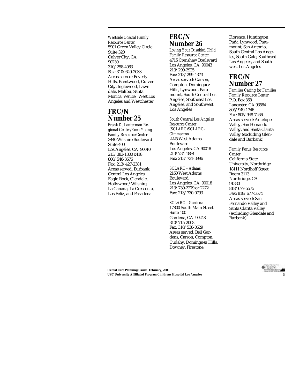*Westside Coastal Family Resource Center* 5901 Green Valley Circle Suite 320 Culver City, CA 90230 310/258-4063 Fax: 310/649-2033 Areas served: Beverly Hills, Brentwood, Culver City, Inglewood, Lawndale, Malibu, Santa Monica, Venice, West Los Angeles and Westchester

### *FRC/N Number 25*

*Frank D. Lanterman Regional Center/Koch-Young Family Resource Center* 3440 Wilshire Boulevard Suite 400 Los Angeles, CA 90010 213/383-1300 x418 800/546-3676 Fax: 213/427-2381 Areas served: Burbank, Central Los Angeles, Eagle Rock, Glendale, Hollywood/Wilshire, La Canada, La Crescenta, Los Feliz, and Pasadena

### *FRC/N Number 26*

*Loving Your Disabled Child Family Resource Center* 4715 Crenshaw Boulevard Los Angeles, CA 90043 213/299-2925 Fax: 213/299-4373 Areas served: Carson, Compton, Dominguez Hills, Lynwood, Paramount, South Central Los Angeles, Southeast Los Angeles, and Southwest Los Angeles

*South Central Los Angeles Resource Center (SCLARC)SCLARC-Cimmarron* 2225 West Adams Boulevard Los Angeles, CA 90018 213/734-1884 Fax: 213/731-3996

*SCLARC - Adams* 2160 West Adams Boulevard Los Angeles, CA 90018 213/730-2279 or 2272 Fax: 213/730-0793

*SCLARC - Gardena* 17800 South Main Street Suite 100 Gardena, CA 90248 310/715-2003 Fax: 310/538-0629 Areas served: Bell Gardens, Carson, Compton, Cudahy, Dominguez Hills, Downey, Firestone,

Florence, Huntington Park, Lynwood, Paramount, San Antonio, South Central Los Angeles, South Gate, Southeast Los Angeles, and Southwest Los Angeles

### *FRC/N Number 27*

*Families Caring for Families Family Resource Center* P.O. Box 368 Lancaster, CA 93584 805/949-1746 Fax: 805/948-7266 Areas served: Antelope Valley, San Fernando Valley, and Santa Clarita Valley (excluding Glendale and Burbank)

*Family Focus Resource Center* California State University, Northridge 18111 Nordhoff Street Room 3113 Northridge, CA 91330 818/677-5575 Fax: 818/677-5574 Areas served: San Fernando Valley and Santa Clarita Valley (excluding Glendale and Burbank)

**Dental Care Planning Guide February, 2000 USC University Affiliated Program Childrens Hospital Los Angeles**

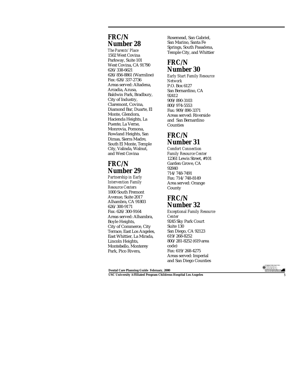*The Parents' Place* 1502 West Covina Parkway, Suite 101 West Covina, CA 91790 626/338-6621 626/856-8861 (Warmline) Fax: 626/337-2736 Areas served: Altadena, Arcadia, Azusa, Baldwin Park, Bradbury, City of Industry, Claremont, Covina, Diamond Bar, Duarte, El Monte, Glendora, Hacienda Heights, La Puente, La Verne, Monrovia, Pomona, Rowland Heights, San Dimas, Sierra Madre, South El Monte, Temple City, Valinda, Walnut, and West Covina

### *FRC/N Number 29*

*Partnership in Early Intervention Family Resource Centers* 1000 South Fremont Avenue, Suite 2017 Alhambra, CA 91803 626/300-9171 Fax: 626/300-9164 Areas served: Alhambra, Boyle Heights, City of Commerce, City Terrace, East Los Angeles, East Whittier, La Mirada, Lincoln Heights, Montebello, Monterey Park, Pico Rivera,

Rosemead, San Gabriel, San Marino, Santa Fe Springs, South Pasadena, Temple City, and Whittier

### *FRC/N Number 30*

*Early Start Family Resource Network* P.O. Box 6127 San Bernardino, CA 92412 909/890-3103 800/974-5553 Fax: 909/890-3371 Areas served: Riverside and San Bernardino **Counties** 

### *FRC/N Number 31*

*Comfort Connection Family Resource Center* 12361 Lewis Street, #101 Garden Grove, CA 92840 714/748-7491 Fax: 714/748-8149 Area served: Orange County

### *FRC/N Number 32*

*Exceptional Family Resource Center* 9245 Sky Park Court Suite 130 San Diego, CA 92123 619/268-8252 800/281-8252 (619 area code) Fax: 619/268-4275 Areas served: Imperial and San Diego Counties

**Dental Care Planning Guide February, 2000**



**5**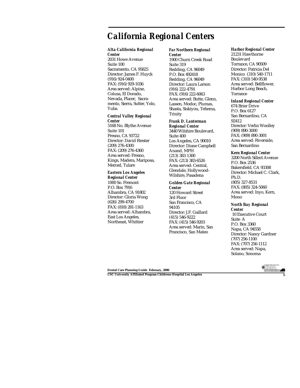### *California Regional Centers*

### *Alta California Regional*

*Center* 2031 Howe Avenue Suite 100 Sacramento, CA 95825 Director: James F. Huyck (916) 924-0400 FAX: (916) 929-1036 Area served: Alpine, Colusa, El Dorado, Nevada, Placer, Sacramento, Sierra, Sutter, Yolo, Yuba

### *Central Valley Regional*

*Center* 5168 No. Blythe Avenue Suite 101 Fresno, CA 93722 Director: David Riester (209) 276-4300 FAX: (209) 276-4360 Area served: Fresno, Kings, Madera, Mariposa, Merced, Tulare

### *Eastern Los Angeles*

*Regional Center* 1000 So. Fremont P.O. Box 7916 Alhambra, CA 91802 Director: Gloria Wong (626) 299-4700 FAX: (818) 281-1163 Area served: Alhambra, East Los Angeles, Northeast, Whittier

### *Far Northern Regional*

*Center* 1900 Churn Creek Road Suite 319 Redding, CA 96049 P.O. Box 492418 Redding, CA 96049 Director: Laura Larson (916) 222-4791 FAX: (916) 222-6063 Area served: Butte, Glenn, Lassen, Modoc, Plumas, Shasta, Siskiyou, Tehema, **Trinity** 

### *Frank D. Lanterman Regional Center* 3440 Wilshire Boulevard, Suite 400 Los Angeles, CA 90010 Director: Diane Campbell

Anand, MPH (213) 383-1300 FAX: (213) 383-6526 Area served: Central, Glendale, Hollywood-Wilshire, Pasadena

### *Golden Gate Regional*

*Center* 120 Howard Street 3rd Floor San Francisco, CA 94105 Director: J.F. Gaillard (415) 546-9222 FAX: (415) 546-9203 Area served: Marin, San Francisco, San Mateo

### *Harbor Regional Center* 21231 Hawthorne Boulevard Torrance, CA 90509 Director: Patricia Del Monico (310) 540-1711 FAX: (310) 540-9538 Area served: Bellflower, Harbor Long Beach, **Torrance**

### *Inland Regional Center*

674 Brier Drive P.O. Box 6127 San Bernardino, CA 92412 Director: Verlin Woolley (909) 890-3000 FAX: (909) 890-3001 Area served: Riverside, San Bernardino

### *Kern Regional Center*

3200 North Sillect Avenue P.O. Box 2536 Bakersfield, CA 93308 Director: Michael C. Clark, Ph.D. (805) 327-8531 FAX: (805) 324-5060 Area served: Inyo, Kern, Mono

### *North Bay Regional Center* 10 Executive Court Suite A P.O. Box 3360 Napa, CA 94558

Director: Nancy Gardner

(707) 256-1100 FAX: (707) 256-1112 Area served: Napa, Solano, Sonoma

**Dental Care Planning Guide February, 2000 USC University Affiliated Program Childrens Hospital Los Angeles**